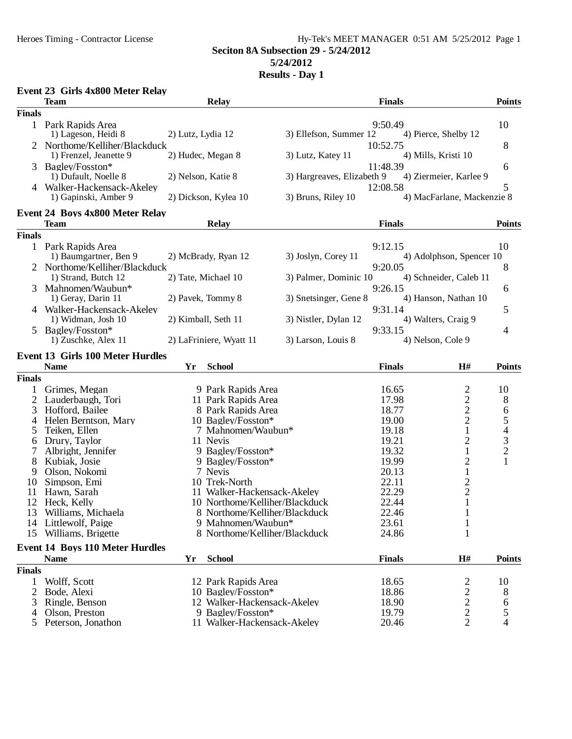## Heroes Timing - Contractor License Hy-Tek's MEET MANAGER 0:51 AM 5/25/2012 Page 1 **Seciton 8A Subsection 29 - 5/24/2012 5/24/2012**

|               | Event 23 Girls 4x800 Meter Relay           |                     |                                                     |                            |                |                            |                                                 |
|---------------|--------------------------------------------|---------------------|-----------------------------------------------------|----------------------------|----------------|----------------------------|-------------------------------------------------|
|               | <b>Team</b>                                |                     | <b>Relay</b>                                        |                            | <b>Finals</b>  |                            | <b>Points</b>                                   |
| <b>Finals</b> |                                            |                     |                                                     |                            |                |                            |                                                 |
|               | 1 Park Rapids Area                         |                     |                                                     |                            | 9:50.49        |                            | 10                                              |
|               | 1) Lageson, Heidi 8                        | 2) Lutz, Lydia 12   |                                                     | 3) Ellefson, Summer 12     |                | 4) Pierce, Shelby 12       |                                                 |
|               | 2 Northome/Kelliher/Blackduck              |                     |                                                     |                            | 10:52.75       |                            | 8                                               |
|               | 1) Frenzel, Jeanette 9                     | 2) Hudec, Megan 8   |                                                     | 3) Lutz, Katey 11          |                | 4) Mills, Kristi 10        |                                                 |
|               | Bagley/Fosston*<br>1) Dufault, Noelle 8    |                     |                                                     |                            | 11:48.39       |                            | 6                                               |
|               | 4 Walker-Hackensack-Akeley                 | 2) Nelson, Katie 8  |                                                     | 3) Hargreaves, Elizabeth 9 | 12:08.58       | 4) Ziermeier, Karlee 9     | 5                                               |
|               | 1) Gapinski, Amber 9                       |                     | 2) Dickson, Kylea 10                                | 3) Bruns, Riley 10         |                | 4) MacFarlane, Mackenzie 8 |                                                 |
|               | <b>Event 24 Boys 4x800 Meter Relay</b>     |                     |                                                     |                            |                |                            |                                                 |
|               | <b>Team</b>                                |                     | <b>Relay</b>                                        |                            | <b>Finals</b>  |                            | <b>Points</b>                                   |
| <b>Finals</b> |                                            |                     |                                                     |                            |                |                            |                                                 |
|               | 1 Park Rapids Area                         |                     |                                                     |                            | 9:12.15        |                            | 10                                              |
|               | 1) Baumgartner, Ben 9                      |                     | 2) McBrady, Ryan 12                                 | 3) Joslyn, Corey 11        |                | 4) Adolphson, Spencer 10   |                                                 |
|               | 2 Northome/Kelliher/Blackduck              |                     |                                                     |                            | 9:20.05        |                            | 8                                               |
|               | 1) Strand, Butch 12                        | 2) Tate, Michael 10 |                                                     | 3) Palmer, Dominic 10      |                | 4) Schneider, Caleb 11     |                                                 |
| 3             | Mahnomen/Waubun*                           |                     |                                                     |                            | 9:26.15        |                            | 6                                               |
|               | 1) Geray, Darin 11                         | 2) Pavek, Tommy 8   |                                                     | 3) Snetsinger, Gene 8      |                | 4) Hanson, Nathan 10       |                                                 |
|               | 4 Walker-Hackensack-Akeley                 |                     |                                                     |                            | 9:31.14        |                            | 5                                               |
|               | 1) Widman, Josh 10                         | 2) Kimball, Seth 11 |                                                     | 3) Nistler, Dylan 12       |                | 4) Walters, Craig 9        |                                                 |
|               | 5 Bagley/Fosston*                          |                     |                                                     |                            | 9:33.15        |                            | 4                                               |
|               | 1) Zuschke, Alex 11                        |                     | 2) LaFriniere, Wyatt 11                             | 3) Larson, Louis 8         |                | 4) Nelson, Cole 9          |                                                 |
|               | <b>Event 13 Girls 100 Meter Hurdles</b>    |                     |                                                     |                            |                |                            |                                                 |
|               | <b>Name</b>                                | Yr                  | <b>School</b>                                       |                            | <b>Finals</b>  | H#                         | <b>Points</b>                                   |
| <b>Finals</b> |                                            |                     |                                                     |                            |                |                            |                                                 |
| 1             | Grimes, Megan                              |                     | 9 Park Rapids Area                                  |                            | 16.65          | $\overline{c}$             | 10                                              |
| 2             | Lauderbaugh, Tori                          |                     | 11 Park Rapids Area                                 |                            | 17.98          | $\overline{c}$             | 8                                               |
| 3             | Hofford, Bailee                            |                     | 8 Park Rapids Area                                  |                            | 18.77          | $\overline{c}$             | 6                                               |
| 4             | Helen Berntson, Mary                       |                     | 10 Bagley/Fosston*                                  |                            | 19.00          | $\overline{c}$             |                                                 |
| 5             | Teiken, Ellen                              |                     | 7 Mahnomen/Waubun*                                  |                            | 19.18          | $\mathbf{1}$               | $\begin{array}{c} 5 \\ 4 \\ 3 \\ 2 \end{array}$ |
| 6             | Drury, Taylor                              |                     | 11 Nevis                                            |                            | 19.21          | $\overline{c}$             |                                                 |
| 7             | Albright, Jennifer                         |                     | 9 Bagley/Fosston*                                   |                            | 19.32          | 1                          |                                                 |
| 8             | Kubiak, Josie                              |                     | 9 Bagley/Fosston*                                   |                            | 19.99          | $\overline{c}$             | $\mathbf{1}$                                    |
| 9             | Olson, Nokomi                              |                     | 7 Nevis                                             |                            | 20.13          | $\mathbf{1}$               |                                                 |
| 10            | Simpson, Emi                               |                     | 10 Trek-North                                       |                            | 22.11          | $\overline{\mathbf{c}}$    |                                                 |
| 11            | Hawn, Sarah                                |                     | 11 Walker-Hackensack-Akeley                         |                            | 22.29          | $\overline{c}$             |                                                 |
|               | 12 Heck, Kelly                             |                     | 10 Northome/Kelliher/Blackduck                      |                            | 22.44          | $\mathbf{1}$               |                                                 |
| 13            | Williams, Michaela                         |                     | 8 Northome/Kelliher/Blackduck                       |                            | 22.46          | 1                          |                                                 |
| 14            | Littlewolf, Paige<br>15 Williams, Brigette |                     | 9 Mahnomen/Waubun*<br>8 Northome/Kelliher/Blackduck |                            | 23.61<br>24.86 | 1                          |                                                 |
|               |                                            |                     |                                                     |                            |                |                            |                                                 |
|               | <b>Event 14 Boys 110 Meter Hurdles</b>     |                     |                                                     |                            |                |                            |                                                 |
|               | <b>Name</b>                                | Yr                  | <b>School</b>                                       |                            | <b>Finals</b>  | H#                         | <b>Points</b>                                   |
| <b>Finals</b> |                                            |                     |                                                     |                            |                |                            |                                                 |
| 1             | Wolff, Scott                               |                     | 12 Park Rapids Area                                 |                            | 18.65          | 2                          | 10                                              |
| 2             | Bode, Alexi                                |                     | 10 Bagley/Fosston*                                  |                            | 18.86          | $\overline{\mathbf{c}}$    | 8                                               |
| 3             | Ringle, Benson                             |                     | 12 Walker-Hackensack-Akeley                         |                            | 18.90          | $\overline{c}$             | 6                                               |
| 4             | Olson, Preston                             |                     | 9 Bagley/Fosston*                                   |                            | 19.79          | $\overline{c}$             | 5                                               |
| 5             | Peterson, Jonathon                         |                     | 11 Walker-Hackensack-Akeley                         |                            | 20.46          | 2                          | $\overline{\mathcal{L}}$                        |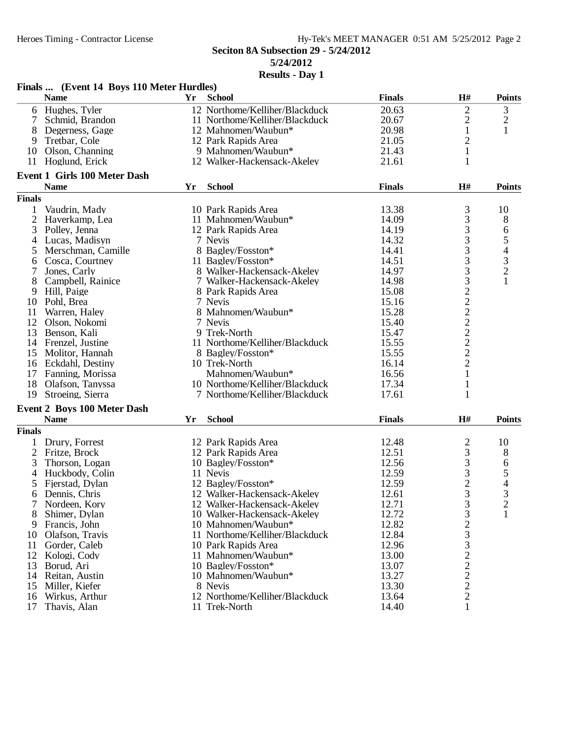|                | Finals  (Event 14 Boys 110 Meter Hurdles) |    |                                |               |                |                                            |
|----------------|-------------------------------------------|----|--------------------------------|---------------|----------------|--------------------------------------------|
|                | <b>Name</b>                               | Yr | <b>School</b>                  | <b>Finals</b> | H#             | <b>Points</b>                              |
|                | 6 Hughes, Tyler                           |    | 12 Northome/Kelliher/Blackduck | 20.63         | $\mathbf{2}$   | 3                                          |
| 7              | Schmid, Brandon                           |    | 11 Northome/Kelliher/Blackduck | 20.67         | $\overline{c}$ | $\overline{c}$                             |
| 8              | Degerness, Gage                           |    | 12 Mahnomen/Waubun*            | 20.98         | $\mathbf{1}$   | 1                                          |
| 9              | Tretbar, Cole                             |    | 12 Park Rapids Area            | 21.05         | $\mathbf{2}$   |                                            |
| 10             | Olson, Channing                           |    | 9 Mahnomen/Waubun*             | 21.43         | $\mathbf{1}$   |                                            |
|                | 11 Hoglund, Erick                         |    | 12 Walker-Hackensack-Akeley    | 21.61         | 1              |                                            |
|                | <b>Event 1 Girls 100 Meter Dash</b>       |    |                                |               |                |                                            |
|                | <b>Name</b>                               | Yr | <b>School</b>                  | <b>Finals</b> | H#             | <b>Points</b>                              |
| <b>Finals</b>  |                                           |    |                                |               |                |                                            |
| 1              | Vaudrin, Mady                             |    | 10 Park Rapids Area            | 13.38         | $\frac{3}{3}$  | 10                                         |
| $\overline{c}$ | Haverkamp, Lea                            |    | 11 Mahnomen/Waubun*            | 14.09         |                | 8                                          |
| 3              | Polley, Jenna                             |    | 12 Park Rapids Area            | 14.19         | 3              | 6                                          |
| 4              | Lucas, Madisyn                            |    | 7 Nevis                        | 14.32         | 3              | 5                                          |
| 5              | Merschman, Camille                        |    | 8 Bagley/Fosston*              | 14.41         | 3              |                                            |
| 6              | Cosca, Courtney                           |    | 11 Bagley/Fosston*             | 14.51         |                | $\begin{array}{c} 4 \\ 3 \\ 2 \end{array}$ |
| 7              | Jones, Carly                              |    | 8 Walker-Hackensack-Akeley     | 14.97         | 3332222222     |                                            |
| 8              | Campbell, Rainice                         |    | 7 Walker-Hackensack-Akeley     | 14.98         |                | $\mathbf{1}$                               |
| 9              | Hill, Paige                               |    | 8 Park Rapids Area             | 15.08         |                |                                            |
| 10             | Pohl, Brea                                |    | 7 Nevis                        | 15.16         |                |                                            |
| 11             | Warren, Haley                             |    | 8 Mahnomen/Waubun*             | 15.28         |                |                                            |
| 12             | Olson, Nokomi                             |    | 7 Nevis                        | 15.40         |                |                                            |
|                | Benson, Kali                              |    | 9 Trek-North                   | 15.47         |                |                                            |
| 13             |                                           |    |                                |               |                |                                            |
| 14             | Frenzel, Justine                          |    | 11 Northome/Kelliher/Blackduck | 15.55         |                |                                            |
| 15             | Molitor, Hannah                           |    | 8 Bagley/Fosston*              | 15.55         |                |                                            |
|                | 16 Eckdahl, Destiny                       |    | 10 Trek-North                  | 16.14         |                |                                            |
| 17             | Fanning, Morissa                          |    | Mahnomen/Waubun*               | 16.56         | $\mathbf{1}$   |                                            |
| 18             | Olafson, Tanyssa                          |    | 10 Northome/Kelliher/Blackduck | 17.34         | 1              |                                            |
| 19             | Stroeing, Sierra                          |    | 7 Northome/Kelliher/Blackduck  | 17.61         | 1              |                                            |
|                | <b>Event 2 Boys 100 Meter Dash</b>        |    |                                |               |                |                                            |
|                | <b>Name</b>                               | Yr | <b>School</b>                  | <b>Finals</b> | H#             | <b>Points</b>                              |
| <b>Finals</b>  |                                           |    |                                |               |                |                                            |
|                | Drury, Forrest                            |    | 12 Park Rapids Area            | 12.48         | $\overline{c}$ | 10                                         |
| $\overline{c}$ | Fritze, Brock                             |    | 12 Park Rapids Area            | 12.51         | 3              | 8                                          |
| 3              | Thorson, Logan                            |    | 10 Bagley/Fosston*             | 12.56         | 3              | 6                                          |
| 4              | Huckbody, Colin                           |    | 11 Nevis                       | 12.59         |                | 5                                          |
| 5              | Fjerstad, Dylan                           |    | 12 Bagley/Fosston*             | 12.59         | $\frac{3}{2}$  | 4                                          |
| 6              | Dennis, Chris                             |    | 12 Walker-Hackensack-Akeley    | 12.61         | $\overline{3}$ | 3                                          |
|                | Nordeen, Kory                             |    | 12 Walker-Hackensack-Akeley    | 12.71         | 3              | $\overline{c}$                             |
| 8              | Shimer, Dylan                             |    | 10 Walker-Hackensack-Akeley    | 12.72         | 3              | $\mathbf{1}$                               |
| 9              | Francis, John                             |    | 10 Mahnomen/Waubun*            | 12.82         |                |                                            |
| 10             | Olafson, Travis                           |    | 11 Northome/Kelliher/Blackduck | 12.84         |                |                                            |
| 11             | Gorder, Caleb                             |    | 10 Park Rapids Area            | 12.96         |                |                                            |
|                |                                           |    |                                |               |                |                                            |
| 12             | Kologi, Cody                              |    | 11 Mahnomen/Waubun*            | 13.00         | 233222         |                                            |
| 13             | Borud, Ari                                |    | 10 Bagley/Fosston*             | 13.07         |                |                                            |
| 14             | Reitan, Austin                            |    | 10 Mahnomen/Waubun*            | 13.27         |                |                                            |
| 15             | Miller, Kiefer                            |    | 8 Nevis                        | 13.30         |                |                                            |
| 16             | Wirkus, Arthur                            |    | 12 Northome/Kelliher/Blackduck | 13.64         | $\overline{c}$ |                                            |
| 17             | Thavis, Alan                              |    | 11 Trek-North                  | 14.40         | 1              |                                            |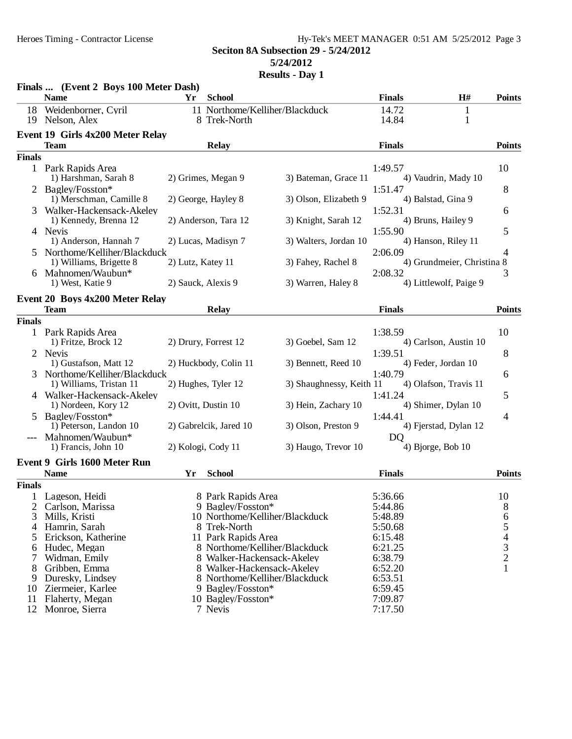### Heroes Timing - Contractor License Hy-Tek's MEET MANAGER 0:51 AM 5/25/2012 Page 3 **Seciton 8A Subsection 29 - 5/24/2012 5/24/2012**

|               | Finals  (Event 2 Boys 100 Meter Dash)               |                     |                                                |                          |                                   |        |                          |
|---------------|-----------------------------------------------------|---------------------|------------------------------------------------|--------------------------|-----------------------------------|--------|--------------------------|
|               | <b>Name</b>                                         | Yr                  | <b>School</b>                                  |                          | <b>Finals</b>                     | H#     | <b>Points</b>            |
| 18<br>19      | Weidenborner, Cyril<br>Nelson, Alex                 |                     | 11 Northome/Kelliher/Blackduck<br>8 Trek-North |                          | 14.72<br>14.84                    | 1<br>1 |                          |
|               | Event 19 Girls 4x200 Meter Relay                    |                     |                                                |                          |                                   |        |                          |
|               | <b>Team</b>                                         |                     | <b>Relay</b>                                   |                          | <b>Finals</b>                     |        | <b>Points</b>            |
| <b>Finals</b> |                                                     |                     |                                                |                          |                                   |        |                          |
|               | 1 Park Rapids Area<br>1) Harshman, Sarah 8          |                     | 2) Grimes, Megan 9                             | 3) Bateman, Grace 11     | 1:49.57<br>4) Vaudrin, Mady 10    |        | 10                       |
|               | 2 Bagley/Fosston*                                   |                     |                                                |                          | 1:51.47                           |        | 8                        |
|               | 1) Merschman, Camille 8<br>Walker-Hackensack-Akeley |                     | 2) George, Hayley 8                            | 3) Olson, Elizabeth 9    | 4) Balstad, Gina 9<br>1:52.31     |        | 6                        |
|               | 1) Kennedy, Brenna 12<br>4 Nevis                    |                     | 2) Anderson, Tara 12                           | 3) Knight, Sarah 12      | 4) Bruns, Hailey 9<br>1:55.90     |        | 5                        |
|               | 1) Anderson, Hannah 7                               |                     | 2) Lucas, Madisyn 7                            | 3) Walters, Jordan 10    | 4) Hanson, Riley 11               |        |                          |
| $\mathcal{F}$ | Northome/Kelliher/Blackduck                         |                     |                                                |                          | 2:06.09                           |        | 4                        |
|               | 1) Williams, Brigette 8                             | 2) Lutz, Katey 11   |                                                | 3) Fahey, Rachel 8       | 4) Grundmeier, Christina 8        |        |                          |
|               | 6 Mahnomen/Waubun*<br>1) West, Katie 9              | 2) Sauck, Alexis 9  |                                                | 3) Warren, Haley 8       | 2:08.32<br>4) Littlewolf, Paige 9 |        | 3                        |
|               | Event 20 Boys 4x200 Meter Relay                     |                     |                                                |                          |                                   |        |                          |
|               | <b>Team</b>                                         |                     | <b>Relay</b>                                   |                          | <b>Finals</b>                     |        | <b>Points</b>            |
| <b>Finals</b> |                                                     |                     |                                                |                          |                                   |        |                          |
|               | 1 Park Rapids Area<br>1) Fritze, Brock 12           |                     | 2) Drury, Forrest 12                           | 3) Goebel, Sam 12        | 1:38.59<br>4) Carlson, Austin 10  |        | 10                       |
| 2             | Nevis<br>1) Gustafson, Matt 12                      |                     | 2) Huckbody, Colin 11                          | 3) Bennett, Reed 10      | 1:39.51<br>4) Feder, Jordan 10    |        | 8                        |
| 3             | Northome/Kelliher/Blackduck                         |                     |                                                |                          | 1:40.79                           |        | 6                        |
|               | 1) Williams, Tristan 11                             |                     | 2) Hughes, Tyler 12                            | 3) Shaughnessy, Keith 11 | 4) Olafson, Travis 11             |        |                          |
|               | 4 Walker-Hackensack-Akeley                          |                     |                                                |                          | 1:41.24                           |        | 5                        |
|               | 1) Nordeen, Kory 12                                 | 2) Ovitt, Dustin 10 |                                                | 3) Hein, Zachary 10      | 4) Shimer, Dylan 10               |        |                          |
| 5.            | Bagley/Fosston*<br>1) Peterson, Landon 10           |                     | 2) Gabrelcik, Jared 10                         | 3) Olson, Preston 9      | 1:44.41<br>4) Fjerstad, Dylan 12  |        | 4                        |
|               | Mahnomen/Waubun*                                    |                     |                                                |                          | D <sub>Q</sub>                    |        |                          |
|               | 1) Francis, John 10                                 | 2) Kologi, Cody 11  |                                                | 3) Haugo, Trevor 10      | 4) Bjorge, Bob 10                 |        |                          |
|               | Event 9 Girls 1600 Meter Run                        |                     |                                                |                          |                                   |        |                          |
|               | <b>Name</b>                                         | Yr                  | <b>School</b>                                  |                          | <b>Finals</b>                     |        | <b>Points</b>            |
| <b>Finals</b> |                                                     |                     |                                                |                          |                                   |        |                          |
|               | 1 Lageson, Heidi                                    |                     | 8 Park Rapids Area                             |                          | 5:36.66                           |        | 10                       |
| 2             | Carlson, Marissa                                    |                     | 9 Bagley/Fosston*                              |                          | 5:44.86                           |        | 8                        |
| 3             | Mills, Kristi                                       |                     | 10 Northome/Kelliher/Blackduck                 |                          | 5:48.89                           |        | 6                        |
| 4             | Hamrin, Sarah                                       |                     | 8 Trek-North                                   |                          | 5:50.68                           |        | 5                        |
| 5             | Erickson, Katherine                                 |                     | 11 Park Rapids Area                            |                          | 6:15.48                           |        | $\overline{\mathcal{L}}$ |
| 6             | Hudec, Megan                                        |                     | 8 Northome/Kelliher/Blackduck                  |                          | 6:21.25                           |        | $\frac{3}{2}$            |
|               | Widman, Emily                                       |                     | 8 Walker-Hackensack-Akeley                     |                          | 6:38.79                           |        |                          |
| 8             | Gribben, Emma                                       |                     | 8 Walker-Hackensack-Akeley                     |                          | 6:52.20                           |        | 1                        |
| 9             | Duresky, Lindsey                                    |                     | 8 Northome/Kelliher/Blackduck                  |                          | 6:53.51                           |        |                          |
| 10            | Ziermeier, Karlee                                   |                     | 9 Bagley/Fosston*                              |                          | 6:59.45                           |        |                          |
| 11            | Flaherty, Megan                                     |                     | 10 Bagley/Fosston*                             |                          | 7:09.87                           |        |                          |
|               | 12 Monroe, Sierra                                   |                     | 7 Nevis                                        |                          | 7:17.50                           |        |                          |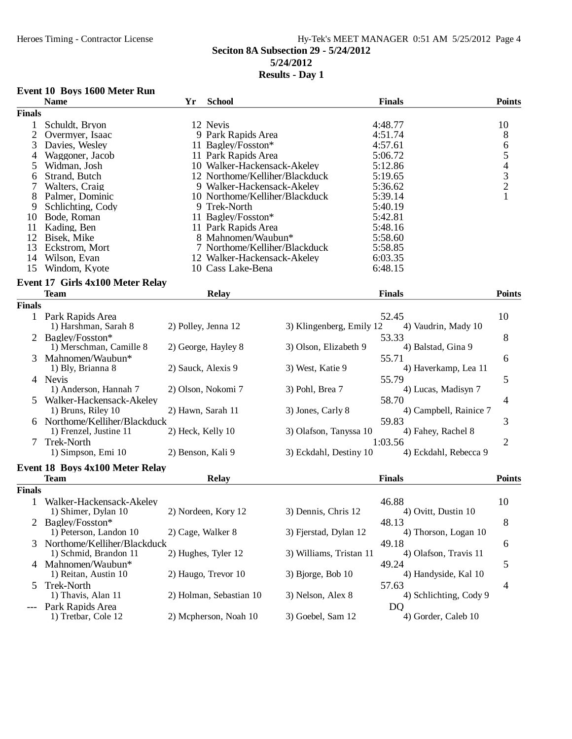# Heroes Timing - Contractor License Hy-Tek's MEET MANAGER 0:51 AM 5/25/2012 Page 4 **Seciton 8A Subsection 29 - 5/24/2012 5/24/2012**

### **Results - Day 1**

### **Event 10 Boys 1600 Meter Run**

|                | <b>Name</b>                             | Yr                 | <b>School</b>                  |                          | <b>Finals</b>          | <b>Points</b>                                   |
|----------------|-----------------------------------------|--------------------|--------------------------------|--------------------------|------------------------|-------------------------------------------------|
| <b>Finals</b>  |                                         |                    |                                |                          |                        |                                                 |
| $\mathbf{1}$   | Schuldt, Bryon                          |                    | 12 Nevis                       |                          | 4:48.77                | 10                                              |
| $\overline{2}$ | Overmyer, Isaac                         |                    | 9 Park Rapids Area             |                          | 4:51.74                | 8                                               |
| 3              | Davies, Wesley                          |                    | 11 Bagley/Fosston*             |                          | 4:57.61                |                                                 |
| 4              | Waggoner, Jacob                         |                    | 11 Park Rapids Area            |                          | 5:06.72                | $\begin{array}{c} 6 \\ 5 \end{array}$           |
| 5              | Widman, Josh                            |                    | 10 Walker-Hackensack-Akeley    |                          | 5:12.86                |                                                 |
| 6              | Strand, Butch                           |                    | 12 Northome/Kelliher/Blackduck |                          | 5:19.65                |                                                 |
| 7              | Walters, Craig                          |                    | 9 Walker-Hackensack-Akeley     |                          | 5:36.62                |                                                 |
| 8              | Palmer, Dominic                         |                    | 10 Northome/Kelliher/Blackduck |                          | 5:39.14                | $\begin{array}{c} 4 \\ 3 \\ 2 \\ 1 \end{array}$ |
| 9              | Schlichting, Cody                       |                    | 9 Trek-North                   |                          | 5:40.19                |                                                 |
| 10             | Bode, Roman                             |                    | 11 Bagley/Fosston*             |                          | 5:42.81                |                                                 |
| 11             | Kading, Ben                             |                    | 11 Park Rapids Area            |                          | 5:48.16                |                                                 |
| 12             | Bisek, Mike                             |                    | 8 Mahnomen/Waubun*             |                          | 5:58.60                |                                                 |
|                |                                         |                    |                                |                          |                        |                                                 |
| 13             | Eckstrom, Mort                          |                    | 7 Northome/Kelliher/Blackduck  |                          | 5:58.85                |                                                 |
| 14             | Wilson, Evan                            |                    | 12 Walker-Hackensack-Akeley    |                          | 6:03.35                |                                                 |
| 15             | Windom, Kyote                           |                    | 10 Cass Lake-Bena              |                          | 6:48.15                |                                                 |
|                | <b>Event 17 Girls 4x100 Meter Relay</b> |                    |                                |                          |                        |                                                 |
|                | <b>Team</b>                             |                    | <b>Relay</b>                   |                          | <b>Finals</b>          | <b>Points</b>                                   |
| <b>Finals</b>  |                                         |                    |                                |                          |                        |                                                 |
|                | 1 Park Rapids Area                      |                    |                                |                          | 52.45                  | 10                                              |
|                | 1) Harshman, Sarah 8                    |                    | 2) Polley, Jenna 12            | 3) Klingenberg, Emily 12 | 4) Vaudrin, Mady 10    |                                                 |
|                | Bagley/Fosston*                         |                    |                                |                          | 53.33                  | 8                                               |
|                | 1) Merschman, Camille 8                 |                    | 2) George, Hayley 8            | 3) Olson, Elizabeth 9    | 4) Balstad, Gina 9     |                                                 |
|                | Mahnomen/Waubun*                        |                    |                                |                          | 55.71                  | 6                                               |
|                | 1) Bly, Brianna 8                       | 2) Sauck, Alexis 9 |                                | 3) West, Katie 9         | 4) Haverkamp, Lea 11   |                                                 |
|                |                                         |                    |                                |                          |                        |                                                 |
|                | 4 Nevis                                 |                    |                                |                          | 55.79                  | 5                                               |
|                | 1) Anderson, Hannah 7                   |                    | 2) Olson, Nokomi 7             | 3) Pohl, Brea 7          | 4) Lucas, Madisyn 7    |                                                 |
|                | Walker-Hackensack-Akeley                |                    |                                |                          | 58.70                  | 4                                               |
|                | 1) Bruns, Riley 10                      | 2) Hawn, Sarah 11  |                                | 3) Jones, Carly 8        | 4) Campbell, Rainice 7 |                                                 |
|                | Northome/Kelliher/Blackduck             |                    |                                |                          | 59.83                  | 3                                               |
|                | 1) Frenzel, Justine 11                  | 2) Heck, Kelly 10  |                                | 3) Olafson, Tanyssa 10   | 4) Fahey, Rachel 8     |                                                 |
| 7              | Trek-North                              |                    |                                |                          | 1:03.56                | $\overline{2}$                                  |
|                | 1) Simpson, Emi 10                      | 2) Benson, Kali 9  |                                | 3) Eckdahl, Destiny 10   | 4) Eckdahl, Rebecca 9  |                                                 |
|                | Event 18 Boys 4x100 Meter Relay         |                    |                                |                          |                        |                                                 |
|                | <b>Team</b>                             |                    | Relay                          |                          | <b>Finals</b>          | <b>Points</b>                                   |
| <b>Finals</b>  |                                         |                    |                                |                          |                        |                                                 |
|                |                                         |                    |                                |                          |                        |                                                 |
|                | Walker-Hackensack-Akeley                |                    |                                | 3) Dennis, Chris 12      | 46.88                  | 10                                              |
|                | 1) Shimer, Dylan 10                     |                    | 2) Nordeen, Kory 12            |                          | 4) Ovitt, Dustin 10    |                                                 |
|                | Bagley/Fosston*                         |                    |                                |                          | 48.13                  | 8                                               |
|                | 1) Peterson, Landon 10                  | 2) Cage, Walker 8  |                                | 3) Fjerstad, Dylan 12    | 4) Thorson, Logan 10   |                                                 |
| 3              | Northome/Kelliher/Blackduck             |                    |                                |                          | 49.18                  | 6                                               |
|                | 1) Schmid, Brandon 11                   |                    | 2) Hughes, Tyler 12            | 3) Williams, Tristan 11  | 4) Olafson, Travis 11  |                                                 |
|                | 4 Mahnomen/Waubun*                      |                    |                                |                          | 49.24                  | 5                                               |
|                | 1) Reitan, Austin 10                    |                    | 2) Haugo, Trevor 10            | 3) Bjorge, Bob 10        | 4) Handyside, Kal 10   |                                                 |
| 5              | Trek-North                              |                    |                                |                          | 57.63                  | 4                                               |
|                | 1) Thavis, Alan 11                      |                    | 2) Holman, Sebastian 10        | 3) Nelson, Alex 8        | 4) Schlichting, Cody 9 |                                                 |
| ---            | Park Rapids Area                        |                    |                                |                          | DQ                     |                                                 |
|                | 1) Tretbar, Cole 12                     |                    | 2) Mcpherson, Noah 10          | 3) Goebel, Sam 12        | 4) Gorder, Caleb 10    |                                                 |
|                |                                         |                    |                                |                          |                        |                                                 |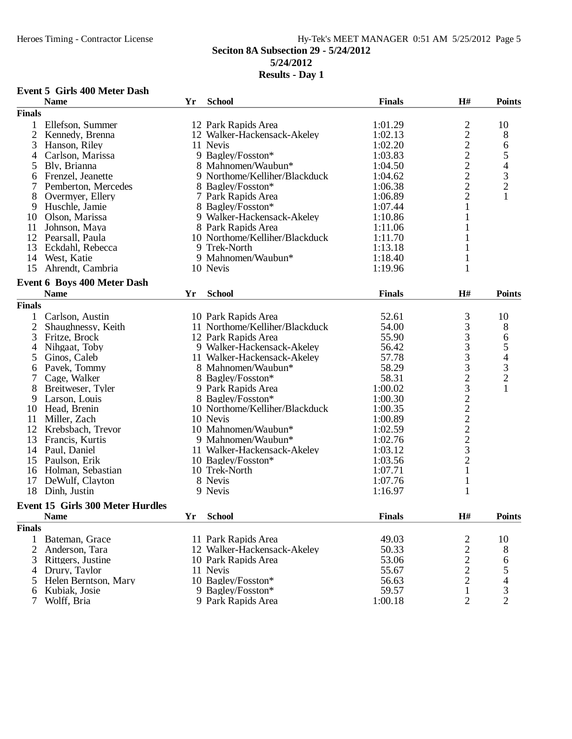## Heroes Timing - Contractor License Hy-Tek's MEET MANAGER 0:51 AM 5/25/2012 Page 5 **Seciton 8A Subsection 29 - 5/24/2012 5/24/2012**

## **Results - Day 1**

### **Event 5 Girls 400 Meter Dash**

|                | <b>Name</b>                             | Yr | <b>School</b>                  | <b>Finals</b> | H#                                         | <b>Points</b>            |
|----------------|-----------------------------------------|----|--------------------------------|---------------|--------------------------------------------|--------------------------|
| <b>Finals</b>  |                                         |    |                                |               |                                            |                          |
| 1              | Ellefson, Summer                        |    | 12 Park Rapids Area            | 1:01.29       |                                            | 10                       |
| $\overline{2}$ | Kennedy, Brenna                         |    | 12 Walker-Hackensack-Akeley    | 1:02.13       |                                            | 8                        |
| 3              | Hanson, Riley                           |    | 11 Nevis                       | 1:02.20       | 222222222                                  | 6                        |
| 4              | Carlson, Marissa                        |    | 9 Bagley/Fosston*              | 1:03.83       |                                            | $\mathfrak s$            |
| 5              | Bly, Brianna                            |    | 8 Mahnomen/Waubun*             | 1:04.50       |                                            | $\overline{\mathcal{L}}$ |
| 6              | Frenzel, Jeanette                       |    | 9 Northome/Kelliher/Blackduck  | 1:04.62       |                                            |                          |
| 7              | Pemberton, Mercedes                     |    | 8 Bagley/Fosston*              | 1:06.38       |                                            | $\frac{3}{2}$            |
| 8              | Overmyer, Ellery                        |    | 7 Park Rapids Area             | 1:06.89       |                                            | $\mathbf{1}$             |
| 9              | Huschle, Jamie                          |    | 8 Bagley/Fosston*              | 1:07.44       | $\mathbf{1}$                               |                          |
| 10             | Olson, Marissa                          |    | 9 Walker-Hackensack-Akeley     | 1:10.86       | 1                                          |                          |
| 11             | Johnson, Maya                           |    | 8 Park Rapids Area             | 1:11.06       | 1                                          |                          |
|                | 12 Pearsall, Paula                      |    | 10 Northome/Kelliher/Blackduck | 1:11.70       |                                            |                          |
| 13             |                                         |    | 9 Trek-North                   | 1:13.18       | 1<br>1                                     |                          |
|                | Eckdahl, Rebecca                        |    |                                |               |                                            |                          |
|                | 14 West, Katie                          |    | 9 Mahnomen/Waubun*             | 1:18.40       | 1                                          |                          |
| 15             | Ahrendt, Cambria                        |    | 10 Nevis                       | 1:19.96       | 1                                          |                          |
|                | <b>Event 6 Boys 400 Meter Dash</b>      |    |                                |               |                                            |                          |
|                | <b>Name</b>                             | Yr | <b>School</b>                  | <b>Finals</b> | H#                                         | <b>Points</b>            |
| <b>Finals</b>  |                                         |    |                                |               |                                            |                          |
|                | Carlson, Austin                         |    | 10 Park Rapids Area            | 52.61         | $\mathfrak{Z}$                             | 10                       |
| $\overline{2}$ | Shaughnessy, Keith                      |    | 11 Northome/Kelliher/Blackduck | 54.00         | 3                                          | 8                        |
| 3              | Fritze, Brock                           |    | 12 Park Rapids Area            | 55.90         |                                            | 6                        |
| 4              | Nihgaat, Toby                           |    | 9 Walker-Hackensack-Akeley     | 56.42         |                                            | 5                        |
| 5              | Ginos, Caleb                            |    | 11 Walker-Hackensack-Akeley    | 57.78         | 333323222232                               | $\overline{\mathcal{A}}$ |
| 6              | Pavek, Tommy                            |    | 8 Mahnomen/Waubun*             | 58.29         |                                            | $\mathfrak{Z}$           |
| 7              | Cage, Walker                            |    | 8 Bagley/Fosston*              | 58.31         |                                            | $\overline{2}$           |
|                |                                         |    |                                |               |                                            | $\mathbf{1}$             |
| 8              | Breitweser, Tyler                       |    | 9 Park Rapids Area             | 1:00.02       |                                            |                          |
| 9              | Larson, Louis                           |    | 8 Bagley/Fosston*              | 1:00.30       |                                            |                          |
|                | 10 Head, Brenin                         |    | 10 Northome/Kelliher/Blackduck | 1:00.35       |                                            |                          |
| 11             | Miller, Zach                            |    | 10 Nevis                       | 1:00.89       |                                            |                          |
| 12             | Krebsbach, Trevor                       |    | 10 Mahnomen/Waubun*            | 1:02.59       |                                            |                          |
| 13             | Francis, Kurtis                         |    | 9 Mahnomen/Waubun*             | 1:02.76       |                                            |                          |
|                | 14 Paul, Daniel                         |    | 11 Walker-Hackensack-Akeley    | 1:03.12       |                                            |                          |
| 15             | Paulson, Erik                           |    | 10 Bagley/Fosston*             | 1:03.56       |                                            |                          |
| 16             | Holman, Sebastian                       |    | 10 Trek-North                  | 1:07.71       | $\mathbf{1}$                               |                          |
| 17             | DeWulf, Clayton                         |    | 8 Nevis                        | 1:07.76       | $\mathbf{1}$                               |                          |
| 18             | Dinh, Justin                            |    | 9 Nevis                        | 1:16.97       | $\mathbf{1}$                               |                          |
|                | <b>Event 15 Girls 300 Meter Hurdles</b> |    |                                |               |                                            |                          |
|                | <b>Name</b>                             |    | Yr School                      | <b>Finals</b> | $\mathbf{H}^{\#}$                          | Points                   |
|                |                                         |    |                                |               |                                            |                          |
| <b>Finals</b>  |                                         |    |                                |               |                                            |                          |
| 1              | Bateman, Grace                          |    | 11 Park Rapids Area            | 49.03         | 2                                          | 10                       |
| 2              | Anderson, Tara                          |    | 12 Walker-Hackensack-Akeley    | 50.33         | $\begin{array}{c} 2 \\ 2 \\ 2 \end{array}$ | 8                        |
| 3              | Rittgers, Justine                       |    | 10 Park Rapids Area            | 53.06         |                                            | 6                        |
| 4              | Drury, Taylor                           |    | 11 Nevis                       | 55.67         |                                            | 5                        |
| 5              | Helen Berntson, Mary                    |    | 10 Bagley/Fosston*             | 56.63         |                                            |                          |
| 6              | Kubiak, Josie                           |    | 9 Bagley/Fosston*              | 59.57         | $\mathbf{1}$                               | $\mathfrak{Z}$           |
| 7              | Wolff, Bria                             |    | 9 Park Rapids Area             | 1:00.18       | $\overline{2}$                             | $\overline{2}$           |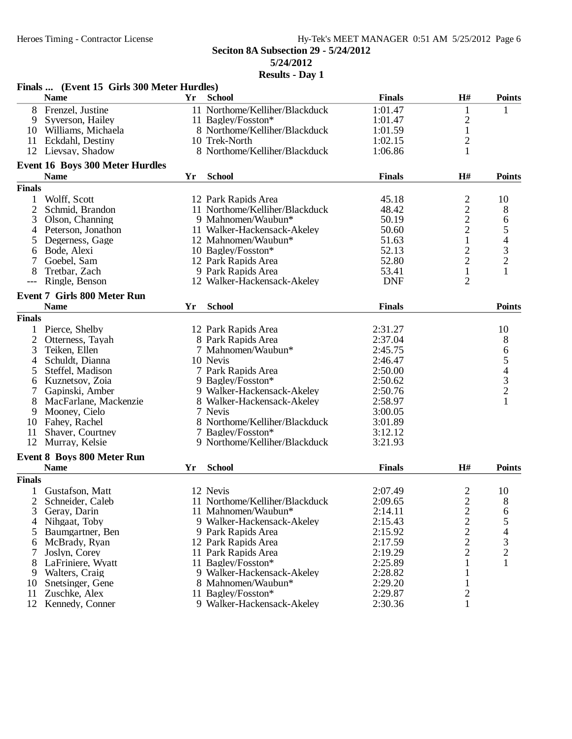| H#<br><b>Name</b><br><b>School</b><br><b>Finals</b><br>Yr<br>8<br>Frenzel, Justine<br>11 Northome/Kelliher/Blackduck<br>1:01.47<br>$\mathbf{1}$<br>1<br>$\overline{c}$<br>9<br>Syverson, Hailey<br>11 Bagley/Fosston*<br>1:01.47<br>$\mathbf{1}$<br>8 Northome/Kelliher/Blackduck<br>1:01.59<br>10 Williams, Michaela<br>$\overline{c}$<br>10 Trek-North<br>1:02.15<br>11 Eckdahl, Destiny<br>8 Northome/Kelliher/Blackduck<br>12 Lievsay, Shadow<br>1:06.86<br>$\mathbf{1}$<br>Event 16 Boys 300 Meter Hurdles<br><b>Name</b><br>Yr<br><b>School</b><br><b>Finals</b><br>H#<br><b>Finals</b><br>$\overline{c}$<br>Wolff, Scott<br>12 Park Rapids Area<br>45.18<br>10<br>1<br>$\overline{c}$<br>2<br>11 Northome/Kelliher/Blackduck<br>48.42<br>8<br>Schmid, Brandon<br>$\overline{c}$<br>6<br>9 Mahnomen/Waubun*<br>3<br>Olson, Channing<br>50.19<br>$\overline{c}$<br>5<br>Peterson, Jonathon<br>11 Walker-Hackensack-Akeley<br>50.60<br>4<br>$\overline{\mathcal{L}}$<br>1<br>Degerness, Gage<br>12 Mahnomen/Waubun*<br>51.63<br>5<br>$\frac{3}{2}$<br>$\overline{c}$<br>10 Bagley/Fosston*<br>52.13<br>Bode, Alexi<br>6<br>$\overline{2}$<br>Goebel, Sam<br>12 Park Rapids Area<br>52.80<br>$\mathbf{1}$<br>8<br>9 Park Rapids Area<br>1<br>Tretbar, Zach<br>53.41<br>$\overline{c}$<br><b>DNF</b><br>Ringle, Benson<br>12 Walker-Hackensack-Akeley<br><b>Event 7 Girls 800 Meter Run</b><br><b>Name</b><br><b>School</b><br><b>Finals</b><br><b>Points</b><br>Yr | Finals  (Event 15 Girls 300 Meter Hurdles) |  |  |               |
|-----------------------------------------------------------------------------------------------------------------------------------------------------------------------------------------------------------------------------------------------------------------------------------------------------------------------------------------------------------------------------------------------------------------------------------------------------------------------------------------------------------------------------------------------------------------------------------------------------------------------------------------------------------------------------------------------------------------------------------------------------------------------------------------------------------------------------------------------------------------------------------------------------------------------------------------------------------------------------------------------------------------------------------------------------------------------------------------------------------------------------------------------------------------------------------------------------------------------------------------------------------------------------------------------------------------------------------------------------------------------------------------------------------------------------------------------------------------------|--------------------------------------------|--|--|---------------|
|                                                                                                                                                                                                                                                                                                                                                                                                                                                                                                                                                                                                                                                                                                                                                                                                                                                                                                                                                                                                                                                                                                                                                                                                                                                                                                                                                                                                                                                                       |                                            |  |  | <b>Points</b> |
|                                                                                                                                                                                                                                                                                                                                                                                                                                                                                                                                                                                                                                                                                                                                                                                                                                                                                                                                                                                                                                                                                                                                                                                                                                                                                                                                                                                                                                                                       |                                            |  |  |               |
|                                                                                                                                                                                                                                                                                                                                                                                                                                                                                                                                                                                                                                                                                                                                                                                                                                                                                                                                                                                                                                                                                                                                                                                                                                                                                                                                                                                                                                                                       |                                            |  |  |               |
|                                                                                                                                                                                                                                                                                                                                                                                                                                                                                                                                                                                                                                                                                                                                                                                                                                                                                                                                                                                                                                                                                                                                                                                                                                                                                                                                                                                                                                                                       |                                            |  |  |               |
|                                                                                                                                                                                                                                                                                                                                                                                                                                                                                                                                                                                                                                                                                                                                                                                                                                                                                                                                                                                                                                                                                                                                                                                                                                                                                                                                                                                                                                                                       |                                            |  |  |               |
|                                                                                                                                                                                                                                                                                                                                                                                                                                                                                                                                                                                                                                                                                                                                                                                                                                                                                                                                                                                                                                                                                                                                                                                                                                                                                                                                                                                                                                                                       |                                            |  |  |               |
|                                                                                                                                                                                                                                                                                                                                                                                                                                                                                                                                                                                                                                                                                                                                                                                                                                                                                                                                                                                                                                                                                                                                                                                                                                                                                                                                                                                                                                                                       |                                            |  |  |               |
|                                                                                                                                                                                                                                                                                                                                                                                                                                                                                                                                                                                                                                                                                                                                                                                                                                                                                                                                                                                                                                                                                                                                                                                                                                                                                                                                                                                                                                                                       |                                            |  |  | <b>Points</b> |
|                                                                                                                                                                                                                                                                                                                                                                                                                                                                                                                                                                                                                                                                                                                                                                                                                                                                                                                                                                                                                                                                                                                                                                                                                                                                                                                                                                                                                                                                       |                                            |  |  |               |
|                                                                                                                                                                                                                                                                                                                                                                                                                                                                                                                                                                                                                                                                                                                                                                                                                                                                                                                                                                                                                                                                                                                                                                                                                                                                                                                                                                                                                                                                       |                                            |  |  |               |
|                                                                                                                                                                                                                                                                                                                                                                                                                                                                                                                                                                                                                                                                                                                                                                                                                                                                                                                                                                                                                                                                                                                                                                                                                                                                                                                                                                                                                                                                       |                                            |  |  |               |
|                                                                                                                                                                                                                                                                                                                                                                                                                                                                                                                                                                                                                                                                                                                                                                                                                                                                                                                                                                                                                                                                                                                                                                                                                                                                                                                                                                                                                                                                       |                                            |  |  |               |
|                                                                                                                                                                                                                                                                                                                                                                                                                                                                                                                                                                                                                                                                                                                                                                                                                                                                                                                                                                                                                                                                                                                                                                                                                                                                                                                                                                                                                                                                       |                                            |  |  |               |
|                                                                                                                                                                                                                                                                                                                                                                                                                                                                                                                                                                                                                                                                                                                                                                                                                                                                                                                                                                                                                                                                                                                                                                                                                                                                                                                                                                                                                                                                       |                                            |  |  |               |
|                                                                                                                                                                                                                                                                                                                                                                                                                                                                                                                                                                                                                                                                                                                                                                                                                                                                                                                                                                                                                                                                                                                                                                                                                                                                                                                                                                                                                                                                       |                                            |  |  |               |
|                                                                                                                                                                                                                                                                                                                                                                                                                                                                                                                                                                                                                                                                                                                                                                                                                                                                                                                                                                                                                                                                                                                                                                                                                                                                                                                                                                                                                                                                       |                                            |  |  |               |
|                                                                                                                                                                                                                                                                                                                                                                                                                                                                                                                                                                                                                                                                                                                                                                                                                                                                                                                                                                                                                                                                                                                                                                                                                                                                                                                                                                                                                                                                       |                                            |  |  |               |
|                                                                                                                                                                                                                                                                                                                                                                                                                                                                                                                                                                                                                                                                                                                                                                                                                                                                                                                                                                                                                                                                                                                                                                                                                                                                                                                                                                                                                                                                       |                                            |  |  |               |
|                                                                                                                                                                                                                                                                                                                                                                                                                                                                                                                                                                                                                                                                                                                                                                                                                                                                                                                                                                                                                                                                                                                                                                                                                                                                                                                                                                                                                                                                       |                                            |  |  |               |
|                                                                                                                                                                                                                                                                                                                                                                                                                                                                                                                                                                                                                                                                                                                                                                                                                                                                                                                                                                                                                                                                                                                                                                                                                                                                                                                                                                                                                                                                       |                                            |  |  |               |
|                                                                                                                                                                                                                                                                                                                                                                                                                                                                                                                                                                                                                                                                                                                                                                                                                                                                                                                                                                                                                                                                                                                                                                                                                                                                                                                                                                                                                                                                       |                                            |  |  |               |
| <b>Finals</b>                                                                                                                                                                                                                                                                                                                                                                                                                                                                                                                                                                                                                                                                                                                                                                                                                                                                                                                                                                                                                                                                                                                                                                                                                                                                                                                                                                                                                                                         |                                            |  |  |               |
| Pierce, Shelby<br>12 Park Rapids Area<br>2:31.27<br>10<br>$\mathbf{1}$                                                                                                                                                                                                                                                                                                                                                                                                                                                                                                                                                                                                                                                                                                                                                                                                                                                                                                                                                                                                                                                                                                                                                                                                                                                                                                                                                                                                |                                            |  |  |               |
| $\overline{2}$<br>8 Park Rapids Area<br>2:37.04<br>8<br>Otterness, Tayah                                                                                                                                                                                                                                                                                                                                                                                                                                                                                                                                                                                                                                                                                                                                                                                                                                                                                                                                                                                                                                                                                                                                                                                                                                                                                                                                                                                              |                                            |  |  |               |
| 65432<br>3<br>Teiken, Ellen<br>7 Mahnomen/Waubun*<br>2:45.75                                                                                                                                                                                                                                                                                                                                                                                                                                                                                                                                                                                                                                                                                                                                                                                                                                                                                                                                                                                                                                                                                                                                                                                                                                                                                                                                                                                                          |                                            |  |  |               |
| 10 Nevis<br>Schuldt, Dianna<br>2:46.47<br>4                                                                                                                                                                                                                                                                                                                                                                                                                                                                                                                                                                                                                                                                                                                                                                                                                                                                                                                                                                                                                                                                                                                                                                                                                                                                                                                                                                                                                           |                                            |  |  |               |
| 7 Park Rapids Area<br>2:50.00<br>Steffel, Madison<br>5                                                                                                                                                                                                                                                                                                                                                                                                                                                                                                                                                                                                                                                                                                                                                                                                                                                                                                                                                                                                                                                                                                                                                                                                                                                                                                                                                                                                                |                                            |  |  |               |
| 2:50.62<br>9 Bagley/Fosston*<br>6<br>Kuznetsov, Zoia                                                                                                                                                                                                                                                                                                                                                                                                                                                                                                                                                                                                                                                                                                                                                                                                                                                                                                                                                                                                                                                                                                                                                                                                                                                                                                                                                                                                                  |                                            |  |  |               |
| 2:50.76<br>7<br>Gapinski, Amber<br>9 Walker-Hackensack-Akeley                                                                                                                                                                                                                                                                                                                                                                                                                                                                                                                                                                                                                                                                                                                                                                                                                                                                                                                                                                                                                                                                                                                                                                                                                                                                                                                                                                                                         |                                            |  |  |               |
| $\mathbf{1}$<br>8<br>MacFarlane, Mackenzie<br>8 Walker-Hackensack-Akeley<br>2:58.97                                                                                                                                                                                                                                                                                                                                                                                                                                                                                                                                                                                                                                                                                                                                                                                                                                                                                                                                                                                                                                                                                                                                                                                                                                                                                                                                                                                   |                                            |  |  |               |
| 9<br>Mooney, Cielo<br>7 Nevis<br>3:00.05                                                                                                                                                                                                                                                                                                                                                                                                                                                                                                                                                                                                                                                                                                                                                                                                                                                                                                                                                                                                                                                                                                                                                                                                                                                                                                                                                                                                                              |                                            |  |  |               |
| 8 Northome/Kelliher/Blackduck<br>Fahey, Rachel<br>3:01.89<br>10                                                                                                                                                                                                                                                                                                                                                                                                                                                                                                                                                                                                                                                                                                                                                                                                                                                                                                                                                                                                                                                                                                                                                                                                                                                                                                                                                                                                       |                                            |  |  |               |
| 7 Bagley/Fosston*<br>3:12.12<br>11<br>Shaver, Courtney                                                                                                                                                                                                                                                                                                                                                                                                                                                                                                                                                                                                                                                                                                                                                                                                                                                                                                                                                                                                                                                                                                                                                                                                                                                                                                                                                                                                                |                                            |  |  |               |
| 12<br>3:21.93<br>Murray, Kelsie<br>9 Northome/Kelliher/Blackduck                                                                                                                                                                                                                                                                                                                                                                                                                                                                                                                                                                                                                                                                                                                                                                                                                                                                                                                                                                                                                                                                                                                                                                                                                                                                                                                                                                                                      |                                            |  |  |               |
| <b>Event 8 Boys 800 Meter Run</b>                                                                                                                                                                                                                                                                                                                                                                                                                                                                                                                                                                                                                                                                                                                                                                                                                                                                                                                                                                                                                                                                                                                                                                                                                                                                                                                                                                                                                                     |                                            |  |  |               |
| <b>Name</b><br><b>Yr</b><br><b>School</b><br><b>Finals</b><br>H#                                                                                                                                                                                                                                                                                                                                                                                                                                                                                                                                                                                                                                                                                                                                                                                                                                                                                                                                                                                                                                                                                                                                                                                                                                                                                                                                                                                                      |                                            |  |  | <b>Points</b> |
| <b>Finals</b>                                                                                                                                                                                                                                                                                                                                                                                                                                                                                                                                                                                                                                                                                                                                                                                                                                                                                                                                                                                                                                                                                                                                                                                                                                                                                                                                                                                                                                                         |                                            |  |  |               |
| 2<br>Gustafson, Matt<br>12 Nevis<br>2:07.49<br>10<br>$\mathbf{1}$                                                                                                                                                                                                                                                                                                                                                                                                                                                                                                                                                                                                                                                                                                                                                                                                                                                                                                                                                                                                                                                                                                                                                                                                                                                                                                                                                                                                     |                                            |  |  |               |
| 11 Northome/Kelliher/Blackduck<br>2<br>Schneider, Caleb<br>2:09.65<br>2<br>8                                                                                                                                                                                                                                                                                                                                                                                                                                                                                                                                                                                                                                                                                                                                                                                                                                                                                                                                                                                                                                                                                                                                                                                                                                                                                                                                                                                          |                                            |  |  |               |
| 3<br>11 Mahnomen/Waubun*<br>2:14.11<br>Geray, Darin                                                                                                                                                                                                                                                                                                                                                                                                                                                                                                                                                                                                                                                                                                                                                                                                                                                                                                                                                                                                                                                                                                                                                                                                                                                                                                                                                                                                                   |                                            |  |  |               |
| $\frac{2}{2}$<br>$\begin{array}{c} 6 \\ 5 \end{array}$<br>2:15.43<br>4<br>Nihgaat, Toby<br>9 Walker-Hackensack-Akeley                                                                                                                                                                                                                                                                                                                                                                                                                                                                                                                                                                                                                                                                                                                                                                                                                                                                                                                                                                                                                                                                                                                                                                                                                                                                                                                                                 |                                            |  |  |               |
| 2:15.92<br>5<br>Baumgartner, Ben<br>9 Park Rapids Area                                                                                                                                                                                                                                                                                                                                                                                                                                                                                                                                                                                                                                                                                                                                                                                                                                                                                                                                                                                                                                                                                                                                                                                                                                                                                                                                                                                                                |                                            |  |  |               |
| $\frac{2}{2}$<br>$\begin{array}{c} 4 \\ 3 \\ 2 \end{array}$<br>12 Park Rapids Area<br>2:17.59<br>6 McBrady, Ryan                                                                                                                                                                                                                                                                                                                                                                                                                                                                                                                                                                                                                                                                                                                                                                                                                                                                                                                                                                                                                                                                                                                                                                                                                                                                                                                                                      |                                            |  |  |               |
| $\overline{2}$<br>2:19.29<br>Joslyn, Corey<br>11 Park Rapids Area<br>7                                                                                                                                                                                                                                                                                                                                                                                                                                                                                                                                                                                                                                                                                                                                                                                                                                                                                                                                                                                                                                                                                                                                                                                                                                                                                                                                                                                                |                                            |  |  |               |
| $\mathbf{1}$<br>11 Bagley/Fosston*<br>2:25.89<br>8<br>LaFriniere, Wyatt<br>1                                                                                                                                                                                                                                                                                                                                                                                                                                                                                                                                                                                                                                                                                                                                                                                                                                                                                                                                                                                                                                                                                                                                                                                                                                                                                                                                                                                          |                                            |  |  |               |
| 9 Walker-Hackensack-Akeley<br>2:28.82<br>9<br>Walters, Craig<br>$\mathbf{1}$                                                                                                                                                                                                                                                                                                                                                                                                                                                                                                                                                                                                                                                                                                                                                                                                                                                                                                                                                                                                                                                                                                                                                                                                                                                                                                                                                                                          |                                            |  |  |               |
| 8 Mahnomen/Waubun*<br>2:29.20<br>$\mathbf{1}$<br>Snetsinger, Gene<br>10                                                                                                                                                                                                                                                                                                                                                                                                                                                                                                                                                                                                                                                                                                                                                                                                                                                                                                                                                                                                                                                                                                                                                                                                                                                                                                                                                                                               |                                            |  |  |               |
| 2:29.87<br>$\overline{\mathbf{c}}$<br>11<br>Zuschke, Alex<br>11 Bagley/Fosston*                                                                                                                                                                                                                                                                                                                                                                                                                                                                                                                                                                                                                                                                                                                                                                                                                                                                                                                                                                                                                                                                                                                                                                                                                                                                                                                                                                                       |                                            |  |  |               |
| 2:30.36<br>12<br>Kennedy, Conner<br>9 Walker-Hackensack-Akeley<br>1                                                                                                                                                                                                                                                                                                                                                                                                                                                                                                                                                                                                                                                                                                                                                                                                                                                                                                                                                                                                                                                                                                                                                                                                                                                                                                                                                                                                   |                                            |  |  |               |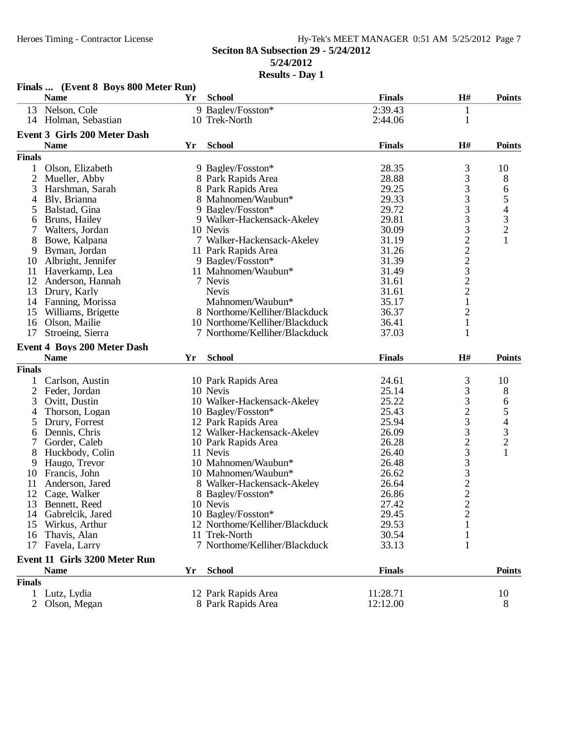#### Heroes Timing - Contractor License Hy-Tek's MEET MANAGER 0:51 AM 5/25/2012 Page 7 **Seciton 8A Subsection 29 - 5/24/2012 5/24/2012 Results - Day 1**

|               | Finals  (Event 8 Boys 800 Meter Run)              |    |                                |               |                                            |                                |
|---------------|---------------------------------------------------|----|--------------------------------|---------------|--------------------------------------------|--------------------------------|
|               | <b>Name</b>                                       | Yr | <b>School</b>                  | <b>Finals</b> | H#                                         | <b>Points</b>                  |
|               | 13 Nelson, Cole                                   |    | 9 Bagley/Fosston*              | 2:39.43       | $\mathbf{1}$                               |                                |
|               | 14 Holman, Sebastian                              |    | 10 Trek-North                  | 2:44.06       | 1                                          |                                |
|               | <b>Event 3 Girls 200 Meter Dash</b>               |    |                                |               |                                            |                                |
|               | <b>Name</b>                                       | Yr | <b>School</b>                  | <b>Finals</b> | H#                                         | <b>Points</b>                  |
| <b>Finals</b> |                                                   |    |                                |               |                                            |                                |
| 1             | Olson, Elizabeth                                  |    | 9 Bagley/Fosston*              | 28.35         | 3                                          | 10                             |
| 2             | Mueller, Abby                                     |    | 8 Park Rapids Area             | 28.88         | 3                                          | 8                              |
| 3             | Harshman, Sarah                                   |    | 8 Park Rapids Area             | 29.25         |                                            | 6                              |
| 4             | Bly, Brianna                                      |    | 8 Mahnomen/Waubun*             | 29.33         | $\frac{3}{3}$                              |                                |
| 5             | Balstad, Gina                                     |    | 9 Bagley/Fosston*              | 29.72         |                                            | 54321                          |
| 6             | Bruns, Hailey                                     |    | 9 Walker-Hackensack-Akeley     | 29.81         | $\frac{3}{3}$                              |                                |
| 7             | Walters, Jordan                                   |    | 10 Nevis                       | 30.09         |                                            |                                |
| 8             | Bowe, Kalpana                                     |    | 7 Walker-Hackensack-Akeley     | 31.19         | 3222322                                    |                                |
| 9             | Byman, Jordan                                     |    | 11 Park Rapids Area            | 31.26         |                                            |                                |
| 10            | Albright, Jennifer                                |    | 9 Bagley/Fosston*              | 31.39         |                                            |                                |
| 11            | Haverkamp, Lea                                    |    | 11 Mahnomen/Waubun*            | 31.49         |                                            |                                |
| 12            | Anderson, Hannah                                  |    | 7 Nevis                        | 31.61         |                                            |                                |
| 13            | Drury, Karly                                      |    | <b>Nevis</b>                   | 31.61         |                                            |                                |
| 14            | Fanning, Morissa                                  |    | Mahnomen/Waubun*               | 35.17         |                                            |                                |
| 15            | Williams, Brigette                                |    | 8 Northome/Kelliher/Blackduck  | 36.37         | $\overline{c}$                             |                                |
| 16            | Olson, Mailie                                     |    | 10 Northome/Kelliher/Blackduck | 36.41         | $\mathbf 1$                                |                                |
| 17            | Stroeing, Sierra                                  |    | 7 Northome/Kelliher/Blackduck  | 37.03         | 1                                          |                                |
|               |                                                   |    |                                |               |                                            |                                |
|               | <b>Event 4 Boys 200 Meter Dash</b><br><b>Name</b> | Yr | <b>School</b>                  | <b>Finals</b> | H#                                         | <b>Points</b>                  |
| <b>Finals</b> |                                                   |    |                                |               |                                            |                                |
|               | Carlson, Austin                                   |    | 10 Park Rapids Area            | 24.61         | 3                                          | 10                             |
| 2             | Feder, Jordan                                     |    | 10 Nevis                       | 25.14         | 3                                          | 8                              |
|               |                                                   |    |                                |               |                                            |                                |
|               |                                                   |    |                                |               |                                            |                                |
| 3             | Ovitt, Dustin                                     |    | 10 Walker-Hackensack-Akeley    | 25.22         | 3                                          | 6                              |
| 4             | Thorson, Logan                                    |    | 10 Bagley/Fosston*             | 25.43         |                                            |                                |
| 5             | Drury, Forrest                                    |    | 12 Park Rapids Area            | 25.94         |                                            |                                |
| 6             | Dennis, Chris                                     |    | 12 Walker-Hackensack-Akeley    | 26.09         | $\frac{2}{3}$                              |                                |
| 7             | Gorder, Caleb                                     |    | 10 Park Rapids Area            | 26.28         |                                            | $\frac{5}{4}$<br>$\frac{3}{2}$ |
| 8             | Huckbody, Colin                                   |    | 11 Nevis                       | 26.40         | $\frac{2}{3}$                              | $\mathbf{1}$                   |
| 9             | Haugo, Trevor                                     |    | 10 Mahnomen/Waubun*            | 26.48         |                                            |                                |
| 10            | Francis, John                                     |    | 10 Mahnomen/Waubun*            | 26.62         |                                            |                                |
| 11            | Anderson, Jared                                   |    | 8 Walker-Hackensack-Akeley     | 26.64         |                                            |                                |
| 12            | Cage, Walker                                      |    | 8 Bagley/Fosston*              | 26.86         | $\begin{array}{c} 3 \\ 3 \\ 2 \end{array}$ |                                |
|               | 13 Bennett, Reed                                  |    | 10 Nevis                       | 27.42         | $\overline{\mathbf{c}}$                    |                                |
| 14            | Gabrelcik, Jared                                  |    | 10 Bagley/Fosston*             | 29.45         | $\overline{c}$                             |                                |
| 15            | Wirkus, Arthur                                    |    | 12 Northome/Kelliher/Blackduck | 29.53         |                                            |                                |
| 16            | Thavis, Alan                                      |    | 11 Trek-North                  | 30.54         | $\mathbf{1}$                               |                                |
| 17            | Favela, Larry                                     |    | 7 Northome/Kelliher/Blackduck  | 33.13         | 1                                          |                                |
|               | Event 11 Girls 3200 Meter Run                     |    |                                |               |                                            |                                |
|               | <b>Name</b>                                       | Yr | <b>School</b>                  | <b>Finals</b> |                                            | <b>Points</b>                  |
| <b>Finals</b> | Lutz, Lydia                                       |    | 12 Park Rapids Area            | 11:28.71      |                                            | 10                             |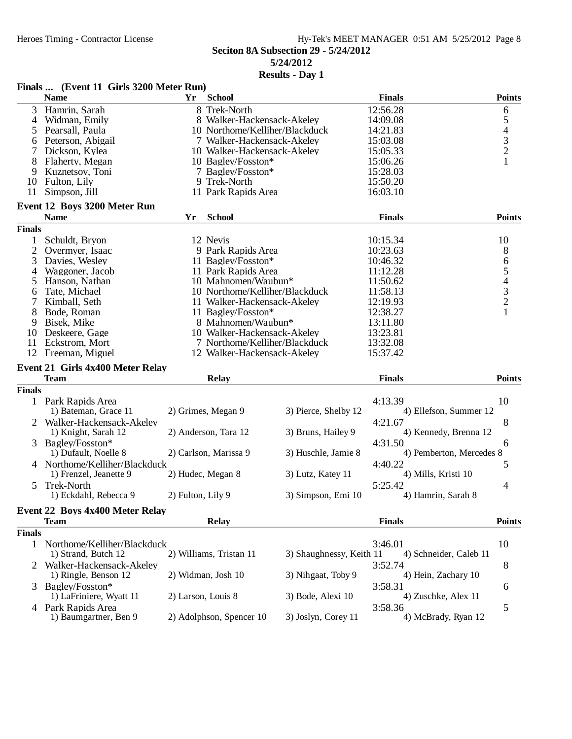|                | Finals  (Event 11 Girls 3200 Meter Run) |                    |                                | wwww<br>mu y             |                          |                                            |
|----------------|-----------------------------------------|--------------------|--------------------------------|--------------------------|--------------------------|--------------------------------------------|
|                | <b>Name</b>                             | Yr                 | <b>School</b>                  |                          | <b>Finals</b>            | <b>Points</b>                              |
| 3              | Hamrin, Sarah                           |                    | 8 Trek-North                   |                          | 12:56.28                 | 6                                          |
| 4              | Widman, Emily                           |                    | 8 Walker-Hackensack-Akeley     |                          | 14:09.08                 | 5                                          |
| 5              | Pearsall, Paula                         |                    | 10 Northome/Kelliher/Blackduck |                          | 14:21.83                 |                                            |
| 6              | Peterson, Abigail                       |                    | 7 Walker-Hackensack-Akeley     |                          | 15:03.08                 | $\begin{array}{c} 4 \\ 3 \\ 2 \end{array}$ |
|                | Dickson, Kylea                          |                    | 10 Walker-Hackensack-Akeley    |                          | 15:05.33                 |                                            |
| 8              | Flaherty, Megan                         |                    | 10 Bagley/Fosston*             |                          | 15:06.26                 | $\mathbf{1}$                               |
| 9              | Kuznetsov, Toni                         |                    | 7 Bagley/Fosston*              |                          | 15:28.03                 |                                            |
| 10             | Fulton, Lily                            |                    | 9 Trek-North                   |                          | 15:50.20                 |                                            |
| 11             | Simpson, Jill                           |                    | 11 Park Rapids Area            |                          | 16:03.10                 |                                            |
|                | Event 12 Boys 3200 Meter Run            |                    |                                |                          |                          |                                            |
|                | <b>Name</b>                             | Yr                 | <b>School</b>                  |                          | <b>Finals</b>            | <b>Points</b>                              |
| <b>Finals</b>  |                                         |                    |                                |                          |                          |                                            |
| 1              | Schuldt, Bryon                          |                    | 12 Nevis                       |                          | 10:15.34                 | 10                                         |
| $\overline{c}$ | Overmyer, Isaac                         |                    | 9 Park Rapids Area             |                          | 10:23.63                 | $\,8\,$                                    |
| 3              | Davies, Wesley                          |                    | 11 Bagley/Fosston*             |                          | 10:46.32                 | 6                                          |
| 4              | Waggoner, Jacob                         |                    | 11 Park Rapids Area            |                          | 11:12.28                 | 5                                          |
| 5              | Hanson, Nathan                          |                    | 10 Mahnomen/Waubun*            |                          | 11:50.62                 |                                            |
| 6              | Tate, Michael                           |                    | 10 Northome/Kelliher/Blackduck |                          | 11:58.13                 | $\begin{array}{c} 4 \\ 3 \\ 2 \end{array}$ |
| 7              | Kimball, Seth                           |                    | 11 Walker-Hackensack-Akeley    |                          | 12:19.93                 |                                            |
| 8              | Bode, Roman                             |                    | 11 Bagley/Fosston*             |                          | 12:38.27                 | $\mathbf{1}$                               |
| 9              | Bisek, Mike                             |                    | 8 Mahnomen/Waubun*             |                          | 13:11.80                 |                                            |
| 10             | Deskeere, Gage                          |                    | 10 Walker-Hackensack-Akeley    |                          | 13:23.81                 |                                            |
| 11             | Eckstrom, Mort                          |                    | 7 Northome/Kelliher/Blackduck  |                          | 13:32.08                 |                                            |
|                | 12 Freeman, Miguel                      |                    | 12 Walker-Hackensack-Akeley    |                          | 15:37.42                 |                                            |
|                | Event 21 Girls 4x400 Meter Relay        |                    |                                |                          |                          |                                            |
|                | <b>Team</b>                             |                    | <b>Relay</b>                   |                          | <b>Finals</b>            | <b>Points</b>                              |
| <b>Finals</b>  |                                         |                    |                                |                          |                          |                                            |
|                | Park Rapids Area                        |                    |                                |                          | 4:13.39                  | 10                                         |
|                | 1) Bateman, Grace 11                    |                    | 2) Grimes, Megan 9             | 3) Pierce, Shelby 12     | 4) Ellefson, Summer 12   |                                            |
|                |                                         |                    |                                |                          |                          |                                            |
|                | Walker-Hackensack-Akeley                |                    |                                |                          | 4:21.67                  | 8                                          |
|                | 1) Knight, Sarah 12                     |                    | 2) Anderson, Tara 12           | 3) Bruns, Hailey 9       | 4) Kennedy, Brenna 12    |                                            |
| 3              | Bagley/Fosston*                         |                    |                                |                          | 4:31.50                  | 6                                          |
|                | 1) Dufault, Noelle 8                    |                    | 2) Carlson, Marissa 9          | 3) Huschle, Jamie 8      | 4) Pemberton, Mercedes 8 |                                            |
|                | Northome/Kelliher/Blackduck             |                    |                                |                          | 4:40.22                  | 5                                          |
|                | 1) Frenzel, Jeanette 9                  |                    | 2) Hudec, Megan 8              | 3) Lutz, Katey 11        | 4) Mills, Kristi 10      |                                            |
| 5              | Trek-North                              |                    |                                |                          | 5:25.42                  | 4                                          |
|                | 1) Eckdahl, Rebecca 9                   | 2) Fulton, Lily 9  |                                | 3) Simpson, Emi 10       | 4) Hamrin, Sarah 8       |                                            |
|                | <b>Event 22 Boys 4x400 Meter Relay</b>  |                    |                                |                          |                          |                                            |
|                | <b>Team</b>                             |                    | <b>Relay</b>                   |                          | <b>Finals</b>            | <b>Points</b>                              |
| <b>Finals</b>  |                                         |                    |                                |                          |                          |                                            |
| 1              | Northome/Kelliher/Blackduck             |                    |                                |                          | 3:46.01                  | 10                                         |
|                | 1) Strand, Butch 12                     |                    | 2) Williams, Tristan 11        | 3) Shaughnessy, Keith 11 | 4) Schneider, Caleb 11   |                                            |
|                | 2 Walker-Hackensack-Akeley              |                    |                                |                          | 3:52.74                  | 8                                          |
|                | 1) Ringle, Benson 12                    |                    | 2) Widman, Josh 10             | 3) Nihgaat, Toby 9       | 4) Hein, Zachary 10      |                                            |
| 3              | Bagley/Fosston*                         |                    |                                |                          | 3:58.31                  | 6                                          |
|                | 1) LaFriniere, Wyatt 11                 | 2) Larson, Louis 8 |                                | 3) Bode, Alexi 10        | 4) Zuschke, Alex 11      |                                            |
|                | 4 Park Rapids Area                      |                    |                                |                          | 3:58.36                  | 5                                          |
|                | 1) Baumgartner, Ben 9                   |                    | 2) Adolphson, Spencer 10       | 3) Joslyn, Corey 11      | 4) McBrady, Ryan 12      |                                            |
|                |                                         |                    |                                |                          |                          |                                            |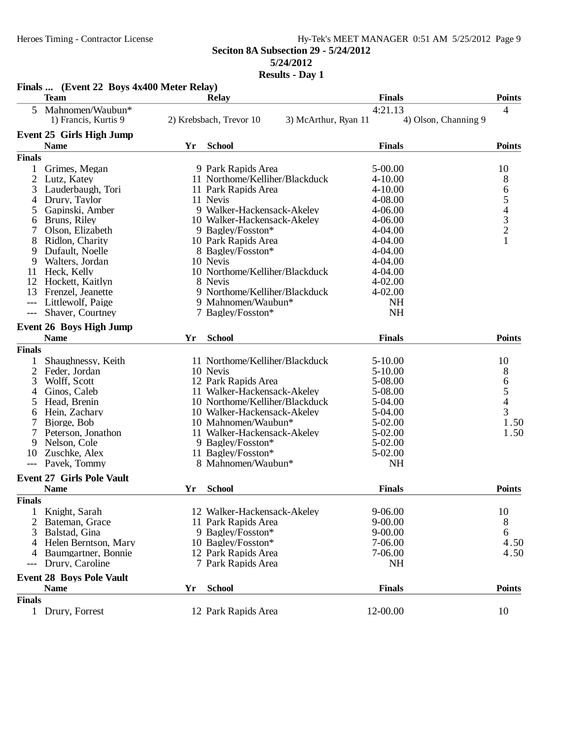### Heroes Timing - Contractor License Hy-Tek's MEET MANAGER 0:51 AM 5/25/2012 Page 9 **Seciton 8A Subsection 29 - 5/24/2012 5/24/2012**

|                | Finals  (Event 22 Boys 4x400 Meter Relay) |    |                                |                                 |                      |                            |
|----------------|-------------------------------------------|----|--------------------------------|---------------------------------|----------------------|----------------------------|
|                | <b>Team</b>                               |    | <b>Relay</b>                   | <b>Finals</b>                   |                      | <b>Points</b>              |
| 5              | Mahnomen/Waubun*<br>1) Francis, Kurtis 9  |    | 2) Krebsbach, Trevor 10        | 4:21.13<br>3) McArthur, Ryan 11 | 4) Olson, Channing 9 | 4                          |
|                | <b>Event 25 Girls High Jump</b>           |    |                                |                                 |                      |                            |
|                | <b>Name</b>                               | Yr | <b>School</b>                  | <b>Finals</b>                   |                      | <b>Points</b>              |
| <b>Finals</b>  |                                           |    |                                |                                 |                      |                            |
| 1              | Grimes, Megan                             |    | 9 Park Rapids Area             | 5-00.00                         |                      | 10                         |
| 2              | Lutz, Katey                               |    | 11 Northome/Kelliher/Blackduck | $4 - 10.00$                     |                      | 8                          |
| 3              | Lauderbaugh, Tori                         |    | 11 Park Rapids Area            | $4 - 10.00$                     |                      |                            |
| 4              | Drury, Taylor                             |    | 11 Nevis                       | 4-08.00                         |                      |                            |
| 5              | Gapinski, Amber                           |    | 9 Walker-Hackensack-Akeley     | $4 - 06.00$                     |                      | 65432                      |
| 6              | Bruns, Riley                              |    | 10 Walker-Hackensack-Akeley    | 4-06.00                         |                      |                            |
|                | Olson, Elizabeth                          |    | 9 Bagley/Fosston*              | 4-04.00                         |                      |                            |
| 8              | Ridlon, Charity                           |    | 10 Park Rapids Area            | 4-04.00                         |                      | $\mathbf{1}$               |
| 9              | Dufault, Noelle                           |    | 8 Bagley/Fosston*              | 4-04.00                         |                      |                            |
| 9              | Walters, Jordan                           |    | 10 Nevis                       | $4 - 04.00$                     |                      |                            |
| 11             | Heck, Kelly                               |    | 10 Northome/Kelliher/Blackduck | 4-04.00                         |                      |                            |
| 12             | Hockett, Kaitlyn                          |    | 8 Nevis                        | $4 - 02.00$                     |                      |                            |
| 13             | Frenzel, Jeanette                         |    | 9 Northome/Kelliher/Blackduck  | $4 - 02.00$                     |                      |                            |
| $---$          | Littlewolf, Paige                         |    | 9 Mahnomen/Waubun*             |                                 | <b>NH</b>            |                            |
| $---$          | Shaver, Courtney                          |    | 7 Bagley/Fosston*              |                                 | NH                   |                            |
|                | <b>Event 26 Boys High Jump</b>            |    |                                |                                 |                      |                            |
|                | <b>Name</b>                               | Yr | <b>School</b>                  | <b>Finals</b>                   |                      | <b>Points</b>              |
| <b>Finals</b>  |                                           |    |                                |                                 |                      |                            |
|                | Shaughnessy, Keith                        |    | 11 Northome/Kelliher/Blackduck | $5 - 10.00$                     |                      | 10                         |
| $\overline{2}$ | Feder, Jordan                             |    | 10 Nevis                       | $5 - 10.00$                     |                      |                            |
| 3              | Wolff, Scott                              |    | 12 Park Rapids Area            | 5-08.00                         |                      | 8                          |
| 4              | Ginos, Caleb                              |    | 11 Walker-Hackensack-Akeley    | 5-08.00                         |                      | $rac{6}{5}$<br>$rac{4}{3}$ |
| 5              | Head, Brenin                              |    | 10 Northome/Kelliher/Blackduck | 5-04.00                         |                      |                            |
| 6              | Hein, Zachary                             |    | 10 Walker-Hackensack-Akeley    | 5-04.00                         |                      |                            |
|                | Bjorge, Bob                               |    | 10 Mahnomen/Waubun*            | 5-02.00                         |                      | 1.50                       |
|                | Peterson, Jonathon                        |    | 11 Walker-Hackensack-Akeley    | 5-02.00                         |                      | 1.50                       |
| 9              | Nelson, Cole                              |    | 9 Bagley/Fosston*              | 5-02.00                         |                      |                            |
| 10             | Zuschke, Alex                             |    | 11 Bagley/Fosston*             | 5-02.00                         |                      |                            |
| $---$          | Pavek, Tommy                              |    | 8 Mahnomen/Waubun*             |                                 | <b>NH</b>            |                            |
|                |                                           |    |                                |                                 |                      |                            |
|                | <b>Event 27 Girls Pole Vault</b>          |    |                                |                                 |                      |                            |
|                | <b>Name</b>                               | Yr | <b>School</b>                  | <b>Finals</b>                   |                      | <b>Points</b>              |
| <b>Finals</b>  |                                           |    |                                |                                 |                      |                            |
|                | Knight, Sarah                             |    | 12 Walker-Hackensack-Akeley    | 9-06.00                         |                      | 10                         |
| 2              | Bateman, Grace                            |    | 11 Park Rapids Area            | $9 - 00.00$                     |                      | 8                          |
| 3              | Balstad, Gina                             |    | 9 Bagley/Fosston*              | $9 - 00.00$                     |                      | 6                          |
| 4              | Helen Berntson, Mary                      |    | 10 Bagley/Fosston*             | 7-06.00                         |                      | 4.50                       |
| 4              | Baumgartner, Bonnie                       |    | 12 Park Rapids Area            | 7-06.00                         |                      | 4.50                       |
|                | Drury, Caroline                           |    | 7 Park Rapids Area             |                                 | <b>NH</b>            |                            |
|                | <b>Event 28 Boys Pole Vault</b>           |    |                                |                                 |                      |                            |
|                | <b>Name</b>                               | Yr | <b>School</b>                  | <b>Finals</b>                   |                      | <b>Points</b>              |
| <b>Finals</b>  |                                           |    |                                |                                 |                      |                            |
|                | 1 Drury, Forrest                          |    | 12 Park Rapids Area            | 12-00.00                        |                      | 10                         |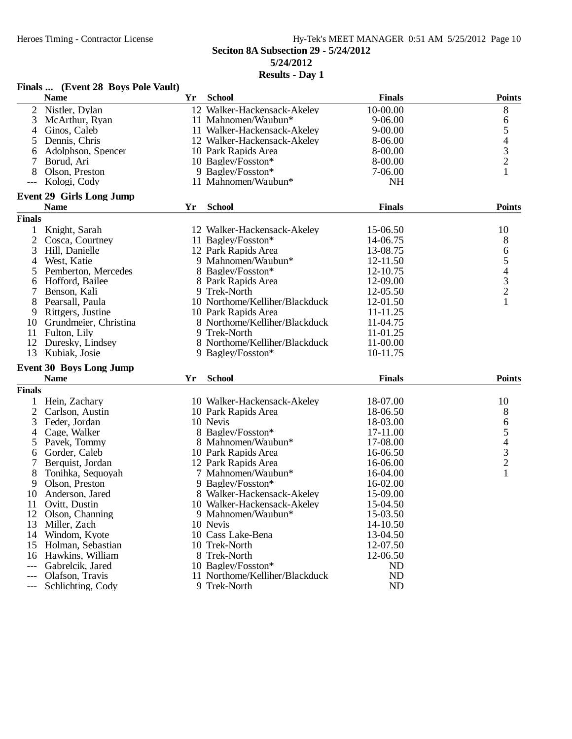## Heroes Timing - Contractor License Hy-Tek's MEET MANAGER 0:51 AM 5/25/2012 Page 10 **Seciton 8A Subsection 29 - 5/24/2012 5/24/2012**

|               | Finals  (Event 28 Boys Pole Vault)    |    |                                |               |                                                 |
|---------------|---------------------------------------|----|--------------------------------|---------------|-------------------------------------------------|
|               | <b>Name</b>                           | Yr | <b>School</b>                  | <b>Finals</b> | <b>Points</b>                                   |
| 2             | Nistler, Dylan                        |    | 12 Walker-Hackensack-Akeley    | 10-00.00      | 8                                               |
| 3             | McArthur, Ryan                        |    | 11 Mahnomen/Waubun*            | $9 - 06.00$   | 6                                               |
| 4             | Ginos, Caleb                          |    | 11 Walker-Hackensack-Akeley    | $9 - 00.00$   |                                                 |
| 5             | Dennis, Chris                         |    | 12 Walker-Hackensack-Akeley    | 8-06.00       | $\begin{array}{c} 5 \\ 4 \\ 3 \\ 2 \end{array}$ |
| 6             | Adolphson, Spencer                    |    | 10 Park Rapids Area            | 8-00.00       |                                                 |
|               | Borud, Ari                            |    | 10 Bagley/Fosston*             | 8-00.00       |                                                 |
| 8             | Olson, Preston                        |    | 9 Bagley/Fosston*              | 7-06.00       | $\mathbf{1}$                                    |
|               | Kologi, Cody                          |    | 11 Mahnomen/Waubun*            | <b>NH</b>     |                                                 |
|               | <b>Event 29 Girls Long Jump</b>       |    |                                |               |                                                 |
|               | <b>Name</b>                           | Yr | <b>School</b>                  | <b>Finals</b> | <b>Points</b>                                   |
| <b>Finals</b> |                                       |    |                                |               |                                                 |
| 1             | Knight, Sarah                         |    | 12 Walker-Hackensack-Akeley    | 15-06.50      | 10                                              |
| 2             | Cosca, Courtney                       |    | 11 Bagley/Fosston*             | 14-06.75      | 8                                               |
| 3             | Hill, Danielle                        |    | 12 Park Rapids Area            | 13-08.75      |                                                 |
| 4             | West, Katie                           |    | 9 Mahnomen/Waubun*             | 12-11.50      |                                                 |
|               | Pemberton, Mercedes                   |    | 8 Bagley/Fosston*              | 12-10.75      |                                                 |
| 5<br>6        | Hofford, Bailee                       |    | 8 Park Rapids Area             | 12-09.00      |                                                 |
| 7             | Benson, Kali                          |    | 9 Trek-North                   | 12-05.50      | 65432                                           |
| 8             | Pearsall, Paula                       |    | 10 Northome/Kelliher/Blackduck | 12-01.50      | $\mathbf{1}$                                    |
| 9             |                                       |    | 10 Park Rapids Area            | 11-11.25      |                                                 |
| 10            | Rittgers, Justine                     |    | 8 Northome/Kelliher/Blackduck  | 11-04.75      |                                                 |
|               | Grundmeier, Christina<br>Fulton, Lily |    | 9 Trek-North                   | 11-01.25      |                                                 |
| 11<br>12      |                                       |    | 8 Northome/Kelliher/Blackduck  | 11-00.00      |                                                 |
| 13            | Duresky, Lindsey                      |    |                                | 10-11.75      |                                                 |
|               | Kubiak, Josie                         |    | 9 Bagley/Fosston*              |               |                                                 |
|               | <b>Event 30 Boys Long Jump</b>        |    |                                |               |                                                 |
|               | <b>Name</b>                           | Yr | <b>School</b>                  | <b>Finals</b> | <b>Points</b>                                   |
| <b>Finals</b> |                                       |    |                                |               |                                                 |
|               | Hein, Zachary                         |    | 10 Walker-Hackensack-Akeley    | 18-07.00      | 10                                              |
| 2             | Carlson, Austin                       |    | 10 Park Rapids Area            | 18-06.50      | 8                                               |
| 3             | Feder, Jordan                         |    | 10 Nevis                       | 18-03.00      |                                                 |
| 4             | Cage, Walker                          |    | 8 Bagley/Fosston*              | 17-11.00      | 65432                                           |
| 5             | Pavek, Tommy                          |    | 8 Mahnomen/Waubun*             | 17-08.00      |                                                 |
| 6             | Gorder, Caleb                         |    | 10 Park Rapids Area            | 16-06.50      |                                                 |
|               | Berquist, Jordan                      |    | 12 Park Rapids Area            | 16-06.00      |                                                 |
| 8             | Tonihka, Sequoyah                     |    | 7 Mahnomen/Waubun*             | 16-04.00      | $\mathbf{1}$                                    |
| 9             | Olson, Preston                        |    | 9 Bagley/Fosston*              | 16-02.00      |                                                 |
| 10            | Anderson, Jared                       |    | 8 Walker-Hackensack-Akeley     | 15-09.00      |                                                 |
| 11            | Ovitt, Dustin                         |    | 10 Walker-Hackensack-Akeley    | 15-04.50      |                                                 |
| 12            | Olson, Channing                       |    | 9 Mahnomen/Waubun*             | 15-03.50      |                                                 |
| 13            | Miller, Zach                          |    | 10 Nevis                       | 14-10.50      |                                                 |
|               | 14 Windom, Kyote                      |    | 10 Cass Lake-Bena              | 13-04.50      |                                                 |
| 15            | Holman, Sebastian                     |    | 10 Trek-North                  | 12-07.50      |                                                 |
| 16            | Hawkins, William                      |    | 8 Trek-North                   | 12-06.50      |                                                 |
| ---           | Gabrelcik, Jared                      |    | 10 Bagley/Fosston*             | ND            |                                                 |
| $---$         | Olafson, Travis                       |    | 11 Northome/Kelliher/Blackduck | ND            |                                                 |
| $---$         | Schlichting, Cody                     |    | 9 Trek-North                   | ND            |                                                 |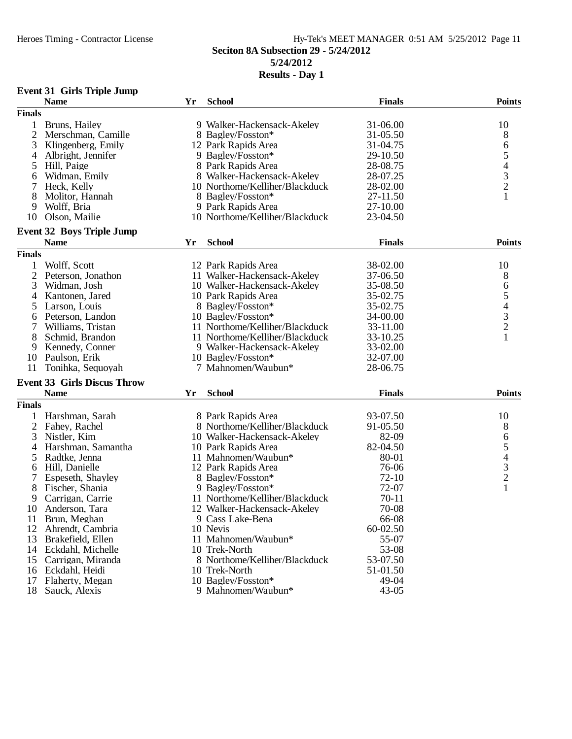# Heroes Timing - Contractor License Hy-Tek's MEET MANAGER 0:51 AM 5/25/2012 Page 11 **Seciton 8A Subsection 29 - 5/24/2012 5/24/2012**

| <b>Event 31 Girls Triple Jump</b> |  |  |  |
|-----------------------------------|--|--|--|
|-----------------------------------|--|--|--|

|                | <b>Name</b>                        | Yr | <b>School</b>                  | <b>Finals</b> | <b>Points</b>                              |
|----------------|------------------------------------|----|--------------------------------|---------------|--------------------------------------------|
| <b>Finals</b>  |                                    |    |                                |               |                                            |
| 1              | Bruns, Hailey                      |    | 9 Walker-Hackensack-Akeley     | 31-06.00      | 10                                         |
| $\overline{2}$ | Merschman, Camille                 |    | 8 Bagley/Fosston*              | 31-05.50      | 8                                          |
| 3              | Klingenberg, Emily                 |    | 12 Park Rapids Area            | 31-04.75      | 6                                          |
| 4              | Albright, Jennifer                 |    | 9 Bagley/Fosston*              | 29-10.50      | $\mathfrak s$                              |
| 5              | Hill, Paige                        |    | 8 Park Rapids Area             | 28-08.75      |                                            |
| 6              | Widman, Emily                      |    | 8 Walker-Hackensack-Akeley     | 28-07.25      | $\begin{array}{c} 4 \\ 3 \\ 2 \end{array}$ |
| 7              | Heck, Kelly                        |    | 10 Northome/Kelliher/Blackduck | 28-02.00      |                                            |
| 8              | Molitor, Hannah                    |    | 8 Bagley/Fosston*              | 27-11.50      |                                            |
| 9              | Wolff, Bria                        |    | 9 Park Rapids Area             | 27-10.00      |                                            |
| 10             | Olson, Mailie                      |    | 10 Northome/Kelliher/Blackduck | 23-04.50      |                                            |
|                | <b>Event 32 Boys Triple Jump</b>   |    |                                |               |                                            |
|                | <b>Name</b>                        | Yr | <b>School</b>                  | <b>Finals</b> | <b>Points</b>                              |
| <b>Finals</b>  |                                    |    |                                |               |                                            |
| 1              | Wolff, Scott                       |    | 12 Park Rapids Area            | 38-02.00      | 10                                         |
| $\mathfrak{2}$ | Peterson, Jonathon                 |    | 11 Walker-Hackensack-Akeley    | 37-06.50      | 8                                          |
| 3              | Widman, Josh                       |    | 10 Walker-Hackensack-Akeley    | 35-08.50      | 6                                          |
| 4              | Kantonen, Jared                    |    | 10 Park Rapids Area            | 35-02.75      |                                            |
| 5              | Larson, Louis                      |    | 8 Bagley/Fosston*              | 35-02.75      | $\frac{5}{4}$                              |
|                | Peterson, Landon                   |    | 10 Bagley/Fosston*             | 34-00.00      |                                            |
| 6<br>7         | Williams, Tristan                  |    | 11 Northome/Kelliher/Blackduck | 33-11.00      | $\frac{3}{2}$                              |
| 8              | Schmid, Brandon                    |    | 11 Northome/Kelliher/Blackduck | 33-10.25      | $\mathbf{1}$                               |
|                | Kennedy, Conner                    |    |                                |               |                                            |
| 9              |                                    |    | 9 Walker-Hackensack-Akeley     | 33-02.00      |                                            |
| 10             | Paulson, Erik                      |    | 10 Bagley/Fosston*             | 32-07.00      |                                            |
| 11             | Tonihka, Sequoyah                  |    | 7 Mahnomen/Waubun*             | 28-06.75      |                                            |
|                | <b>Event 33 Girls Discus Throw</b> |    |                                |               |                                            |
|                | <b>Name</b>                        | Yr | <b>School</b>                  | <b>Finals</b> | <b>Points</b>                              |
| <b>Finals</b>  |                                    |    |                                |               |                                            |
| 1              | Harshman, Sarah                    |    | 8 Park Rapids Area             | 93-07.50      | 10                                         |
| $\overline{2}$ | Fahey, Rachel                      |    | 8 Northome/Kelliher/Blackduck  | 91-05.50      | $\,8\,$                                    |
| 3              | Nistler, Kim                       |    | 10 Walker-Hackensack-Akeley    | 82-09         |                                            |
| 4              | Harshman, Samantha                 |    | 10 Park Rapids Area            | 82-04.50      | $\begin{array}{c} 6 \\ 5 \\ 4 \end{array}$ |
| 5              | Radtke, Jenna                      |    | 11 Mahnomen/Waubun*            | 80-01         |                                            |
| 6              | Hill, Danielle                     |    | 12 Park Rapids Area            | 76-06         | $\frac{3}{2}$                              |
| 7              | Espeseth, Shayley                  |    | 8 Bagley/Fosston*              | $72-10$       |                                            |
| 8              | Fischer, Shania                    |    | 9 Bagley/Fosston*              | 72-07         | $\mathbf{1}$                               |
| 9              | Carrigan, Carrie                   |    | 11 Northome/Kelliher/Blackduck | 70-11         |                                            |
| 10             | Anderson, Tara                     |    | 12 Walker-Hackensack-Akeley    | 70-08         |                                            |
| 11             | Brun, Meghan                       |    | 9 Cass Lake-Bena               | 66-08         |                                            |
| 12             | Ahrendt, Cambria                   |    | 10 Nevis                       | 60-02.50      |                                            |
| 13             | Brakefield, Ellen                  |    | 11 Mahnomen/Waubun*            | 55-07         |                                            |
| 14             | Eckdahl, Michelle                  |    | 10 Trek-North                  | 53-08         |                                            |
| 15             | Carrigan, Miranda                  |    | 8 Northome/Kelliher/Blackduck  | 53-07.50      |                                            |
| 16             | Eckdahl, Heidi                     |    | 10 Trek-North                  | 51-01.50      |                                            |
| 17             | Flaherty, Megan                    |    | 10 Bagley/Fosston*             | 49-04         |                                            |
| 18             | Sauck, Alexis                      |    | 9 Mahnomen/Waubun*             | $43 - 05$     |                                            |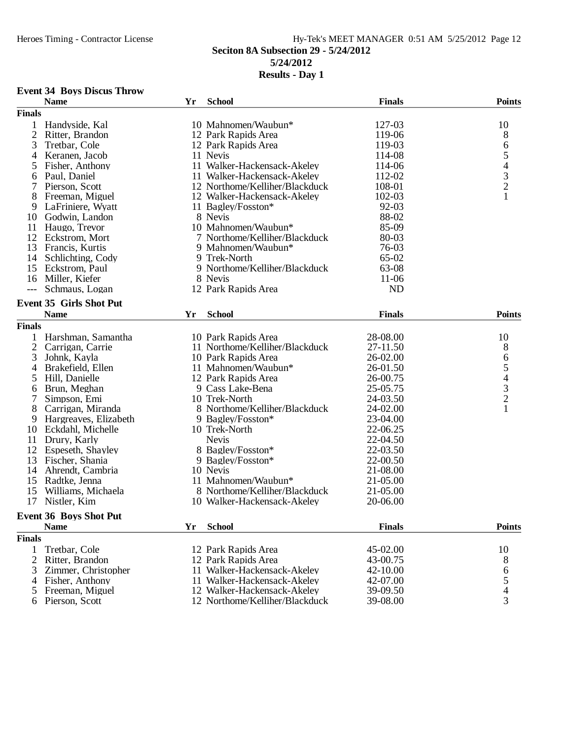#### Heroes Timing - Contractor License Hy-Tek's MEET MANAGER 0:51 AM 5/25/2012 Page 12 **Seciton 8A Subsection 29 - 5/24/2012 5/24/2012 Results - Day 1**

### **Event 34 Boys Discus Throw**

|                | <b>Name</b>                    | Yr | <b>School</b>                  | <b>Finals</b> | <b>Points</b>                                   |
|----------------|--------------------------------|----|--------------------------------|---------------|-------------------------------------------------|
| <b>Finals</b>  |                                |    |                                |               |                                                 |
| 1              | Handyside, Kal                 |    | 10 Mahnomen/Waubun*            | 127-03        | 10                                              |
| $\overline{c}$ | Ritter, Brandon                |    | 12 Park Rapids Area            | 119-06        | 8                                               |
| 3              | Tretbar, Cole                  |    | 12 Park Rapids Area            | 119-03        | 6                                               |
| 4              | Keranen, Jacob                 |    | 11 Nevis                       | 114-08        |                                                 |
| 5              | Fisher, Anthony                |    | 11 Walker-Hackensack-Akeley    | 114-06        |                                                 |
| 6              | Paul, Daniel                   |    | 11 Walker-Hackensack-Akeley    | 112-02        | $\begin{array}{c} 5 \\ 4 \\ 3 \\ 2 \end{array}$ |
| 7              | Pierson, Scott                 |    | 12 Northome/Kelliher/Blackduck | 108-01        |                                                 |
| 8              | Freeman, Miguel                |    | 12 Walker-Hackensack-Akeley    | 102-03        |                                                 |
| 9              | LaFriniere, Wyatt              |    | 11 Bagley/Fosston*             | 92-03         |                                                 |
| 10             | Godwin, Landon                 |    | 8 Nevis                        | 88-02         |                                                 |
| 11             | Haugo, Trevor                  |    | 10 Mahnomen/Waubun*            | 85-09         |                                                 |
| 12             | Eckstrom, Mort                 |    | 7 Northome/Kelliher/Blackduck  | 80-03         |                                                 |
|                | 13 Francis, Kurtis             |    | 9 Mahnomen/Waubun*             | 76-03         |                                                 |
| 14             | Schlichting, Cody              |    | 9 Trek-North                   | 65-02         |                                                 |
| 15             | Eckstrom, Paul                 |    | 9 Northome/Kelliher/Blackduck  | 63-08         |                                                 |
| 16             | Miller, Kiefer                 |    | 8 Nevis                        | $11-06$       |                                                 |
| $---$          | Schmaus, Logan                 |    | 12 Park Rapids Area            | <b>ND</b>     |                                                 |
|                |                                |    |                                |               |                                                 |
|                | <b>Event 35 Girls Shot Put</b> |    |                                |               |                                                 |
|                | <b>Name</b>                    | Yr | <b>School</b>                  | <b>Finals</b> | <b>Points</b>                                   |
| <b>Finals</b>  |                                |    |                                |               |                                                 |
| 1              | Harshman, Samantha             |    | 10 Park Rapids Area            | 28-08.00      | 10                                              |
| $\overline{2}$ | Carrigan, Carrie               |    | 11 Northome/Kelliher/Blackduck | 27-11.50      | 8                                               |
| 3              | Johnk, Kayla                   |    | 10 Park Rapids Area            | 26-02.00      |                                                 |
| 4              | Brakefield, Ellen              |    | 11 Mahnomen/Waubun*            | 26-01.50      | 654321                                          |
| 5              | Hill, Danielle                 |    | 12 Park Rapids Area            | 26-00.75      |                                                 |
| 6              | Brun, Meghan                   |    | 9 Cass Lake-Bena               | 25-05.75      |                                                 |
| 7              | Simpson, Emi                   |    | 10 Trek-North                  | 24-03.50      |                                                 |
| 8              | Carrigan, Miranda              |    | 8 Northome/Kelliher/Blackduck  | 24-02.00      |                                                 |
| 9              | Hargreaves, Elizabeth          |    | 9 Bagley/Fosston*              | 23-04.00      |                                                 |
| 10             | Eckdahl, Michelle              |    | 10 Trek-North                  | 22-06.25      |                                                 |
| 11             | Drury, Karly                   |    | <b>Nevis</b>                   | 22-04.50      |                                                 |
| 12             | Espeseth, Shayley              |    | 8 Bagley/Fosston*              | 22-03.50      |                                                 |
| 13             | Fischer, Shania                |    | 9 Bagley/Fosston*              | 22-00.50      |                                                 |
| 14             | Ahrendt, Cambria               |    | 10 Nevis                       | 21-08.00      |                                                 |
| 15             | Radtke, Jenna                  |    | 11 Mahnomen/Waubun*            | 21-05.00      |                                                 |
| 15             | Williams, Michaela             |    | 8 Northome/Kelliher/Blackduck  | 21-05.00      |                                                 |
| 17             | Nistler, Kim                   |    | 10 Walker-Hackensack-Akeley    | 20-06.00      |                                                 |
|                |                                |    |                                |               |                                                 |
|                | <b>Event 36 Boys Shot Put</b>  |    |                                |               |                                                 |
|                | <b>Name</b>                    | Yr | <b>School</b>                  | <b>Finals</b> | <b>Points</b>                                   |
| <b>Finals</b>  |                                |    |                                |               |                                                 |
| 1              | Tretbar, Cole                  |    | 12 Park Rapids Area            | 45-02.00      | 10                                              |
| 2              | Ritter, Brandon                |    | 12 Park Rapids Area            | 43-00.75      | 8                                               |
| 3              | Zimmer, Christopher            |    | 11 Walker-Hackensack-Akeley    | 42-10.00      | 6                                               |
| 4              | Fisher, Anthony                |    | 11 Walker-Hackensack-Akeley    | 42-07.00      | $\frac{5}{4}$                                   |
| 5              | Freeman, Miguel                |    | 12 Walker-Hackensack-Akeley    | 39-09.50      |                                                 |
| 6              | Pierson, Scott                 |    | 12 Northome/Kelliher/Blackduck | 39-08.00      | 3                                               |